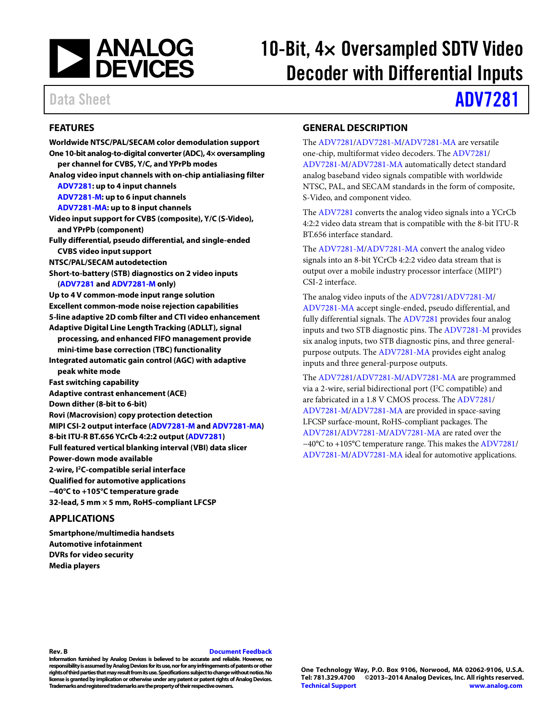

# 10-Bit,  $4\times$  Oversampled SDTV Video Decoder with Differential Inputs

# Data Sheet **[ADV7281](http://www.analog.com/ADV7281?doc=ADV7281.pdf)**

#### <span id="page-0-0"></span>**FEATURES**

**Worldwide NTSC/PAL/SECAM color demodulation support One 10-bit analog-to-digital converter (ADC), 4× oversampling per channel for CVBS, Y/C, and YPrPb modes Analog video input channels with on-chip antialiasing filter [ADV7281:](http://www.analog.com/ADV7281?doc=ADV7281.pdf) up to 4 input channels [ADV7281-M:](http://www.analog.com/ADV7281?doc=ADV7281.pdf) up to 6 input channels [ADV7281-MA:](http://www.analog.com/ADV7281?doc=ADV7281.pdf) up to 8 input channels Video input support for CVBS (composite), Y/C (S-Video), and YPrPb (component) Fully differential, pseudo differential, and single-ended CVBS video input support NTSC/PAL/SECAM autodetection Short-to-battery (STB) diagnostics on 2 video inputs [\(ADV7281](http://www.analog.com/ADV7281?doc=ADV7281.pdf) an[d ADV7281-M](http://www.analog.com/ADV7281?doc=ADV7281.pdf) only) Up to 4 V common-mode input range solution Excellent common-mode noise rejection capabilities 5-line adaptive 2D comb filter and CTI video enhancement Adaptive Digital Line Length Tracking (ADLLT), signal processing, and enhanced FIFO management provide mini-time base correction (TBC) functionality Integrated automatic gain control (AGC) with adaptive peak white mode Fast switching capability Adaptive contrast enhancement (ACE) Down dither (8-bit to 6-bit) Rovi (Macrovision) copy protection detection MIPI CSI-2 output interface [\(ADV7281-M](http://www.analog.com/ADV7281?doc=ADV7281.pdf) an[d ADV7281-MA\)](http://www.analog.com/ADV7281?doc=ADV7281.PDF) 8-bit ITU-R BT.656 YCrCb 4:2:2 output [\(ADV7281\)](http://www.analog.com/ADV7281?doc=ADV7281.pdf) Full featured vertical blanking interval (VBI) data slicer Power-down mode available 2-wire, I2C-compatible serial interface Qualified for automotive applications −40°C to +105°C temperature grade 32-lead, 5 mm × 5 mm, RoHS-compliant LFCSP**

#### <span id="page-0-1"></span>**APPLICATIONS**

**Smartphone/multimedia handsets Automotive infotainment DVRs for video security Media players**

#### <span id="page-0-2"></span>**GENERAL DESCRIPTION**

The [ADV7281](http://www.analog.com/ADV7281?doc=ADV7281.pdf)[/ADV7281-M/ADV7281-MA](http://www.analog.com/ADV7281?doc=ADV7281.PDF) are versatile one-chip, multiformat video decoders. Th[e ADV7281/](http://www.analog.com/ADV7281?doc=ADV7281.pdf) [ADV7281-M/ADV7281-MA](http://www.analog.com/ADV7281?doc=ADV7281.PDF) automatically detect standard analog baseband video signals compatible with worldwide NTSC, PAL, and SECAM standards in the form of composite, S-Video, and component video.

The [ADV7281](http://www.analog.com/ADV7281?doc=ADV7281.pdf) converts the analog video signals into a YCrCb 4:2:2 video data stream that is compatible with the 8-bit ITU-R BT.656 interface standard.

The [ADV7281-M/ADV7281-MA](http://www.analog.com/ADV7281?doc=ADV7281.PDF) convert the analog video signals into an 8-bit YCrCb 4:2:2 video data stream that is output over a mobile industry processor interface (MIPI®) CSI-2 interface.

The analog video inputs of the [ADV7281](http://www.analog.com/ADV7281?doc=ADV7281.pdf)[/ADV7281-M/](http://www.analog.com/ADV7281?doc=ADV7281.PDF) [ADV7281-MA](http://www.analog.com/ADV7281?doc=ADV7281.PDF) accept single-ended, pseudo differential, and fully differential signals. Th[e ADV7281](http://www.analog.com/ADV7281?doc=ADV7281.pdf) provides four analog inputs and two STB diagnostic pins. Th[e ADV7281-M](http://www.analog.com/ADV7281?doc=ADV7281.PDF) provides six analog inputs, two STB diagnostic pins, and three generalpurpose outputs. Th[e ADV7281-MA](http://www.analog.com/ADV7281?doc=ADV7281.PDF) provides eight analog inputs and three general-purpose outputs.

The [ADV7281](http://www.analog.com/ADV7281?doc=ADV7281.pdf)[/ADV7281-M/ADV7281-MA](http://www.analog.com/ADV7281?doc=ADV7281.PDF) are programmed via a 2-wire, serial bidirectional port (I<sup>2</sup>C compatible) and are fabricated in a 1.8 V CMOS process. Th[e ADV7281/](http://www.analog.com/ADV7281?doc=ADV7281.pdf) [ADV7281-M/ADV7281-MA](http://www.analog.com/ADV7281?doc=ADV7281.PDF) are provided in space-saving LFCSP surface-mount, RoHS-compliant packages. The [ADV7281/](http://www.analog.com/ADV7281?doc=ADV7281.pdf)[ADV7281-M/ADV7281-MA](http://www.analog.com/ADV7281?doc=ADV7281.PDF) are rated over the −40°C to +105°C temperature range. This makes th[e ADV7281/](http://www.analog.com/ADV7281?doc=ADV7281.pdf) [ADV7281-M/ADV7281-MA](http://www.analog.com/ADV7281?doc=ADV7281.PDF) ideal for automotive applications.

#### **Rev. B [Document Feedback](https://form.analog.com/Form_Pages/feedback/documentfeedback.aspx?doc=ADV7281.pdf&product=ADV7281&rev=B)**

**Information furnished by Analog Devices is believed to be accurate and reliable. However, no responsibility is assumed by Analog Devices for its use, nor for any infringements of patents or other rights of third parties that may result from its use. Specifications subject to change without notice. No license is granted by implication or otherwise under any patent or patent rights of Analog Devices. Trademarks and registered trademarks are the property of their respective owners.**

**One Technology Way, P.O. Box 9106, Norwood, MA 02062-9106, U.S.A. Tel: 781.329.4700 ©2013–2014 Analog Devices, Inc. All rights reserved. [Technical Support](http://www.analog.com/en/content/technical_support_page/fca.html) [www.analog.com](http://www.analog.com/)**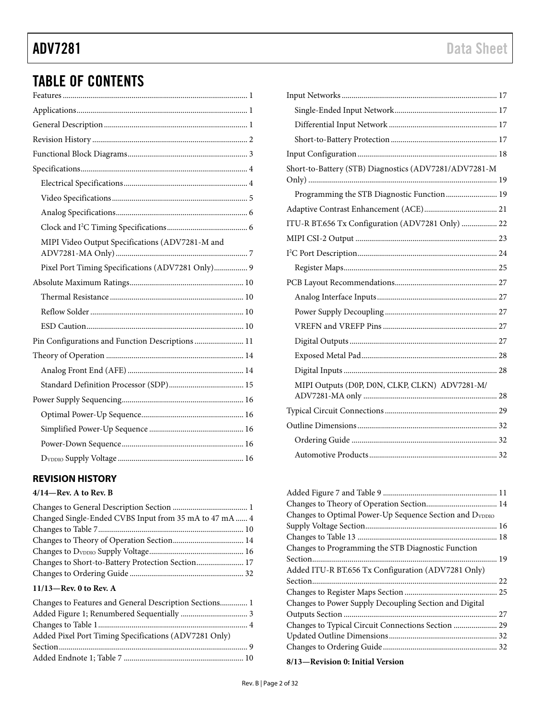# TABLE OF CONTENTS

| MIPI Video Output Specifications (ADV7281-M and   |
|---------------------------------------------------|
| Pixel Port Timing Specifications (ADV7281 Only) 9 |
|                                                   |
|                                                   |
|                                                   |
|                                                   |
| Pin Configurations and Function Descriptions  11  |
|                                                   |
|                                                   |
|                                                   |
|                                                   |
|                                                   |
|                                                   |
|                                                   |
|                                                   |

#### <span id="page-1-0"></span>**REVISION HISTORY**

#### **4/14—Rev. A to Rev. B**

| Changed Single-Ended CVBS Input from 35 mA to 47 mA  4 |  |
|--------------------------------------------------------|--|
|                                                        |  |
|                                                        |  |
|                                                        |  |
|                                                        |  |
|                                                        |  |

#### **11/13—Rev. 0 to Rev. A**

| Changes to Features and General Description Sections 1 |  |
|--------------------------------------------------------|--|
|                                                        |  |
|                                                        |  |
| Added Pixel Port Timing Specifications (ADV7281 Only)  |  |
|                                                        |  |
|                                                        |  |

| Short-to-Battery (STB) Diagnostics (ADV7281/ADV7281-M |  |
|-------------------------------------------------------|--|
| Programming the STB Diagnostic Function 19            |  |
|                                                       |  |
| ITU-R BT.656 Tx Configuration (ADV7281 Only)  22      |  |
|                                                       |  |
|                                                       |  |
|                                                       |  |
|                                                       |  |
|                                                       |  |
|                                                       |  |
|                                                       |  |
|                                                       |  |
|                                                       |  |
|                                                       |  |
| MIPI Outputs (D0P, D0N, CLKP, CLKN) ADV7281-M/        |  |
|                                                       |  |
|                                                       |  |
|                                                       |  |
|                                                       |  |
|                                                       |  |

| Changes to Optimal Power-Up Sequence Section and DVDDIO |
|---------------------------------------------------------|
|                                                         |
|                                                         |
| Changes to Programming the STB Diagnostic Function      |
|                                                         |
| Added ITU-R BT.656 Tx Configuration (ADV7281 Only)      |
|                                                         |
|                                                         |
| Changes to Power Supply Decoupling Section and Digital  |
|                                                         |
|                                                         |
|                                                         |
|                                                         |
|                                                         |

#### **8/13—Revision 0: Initial Version**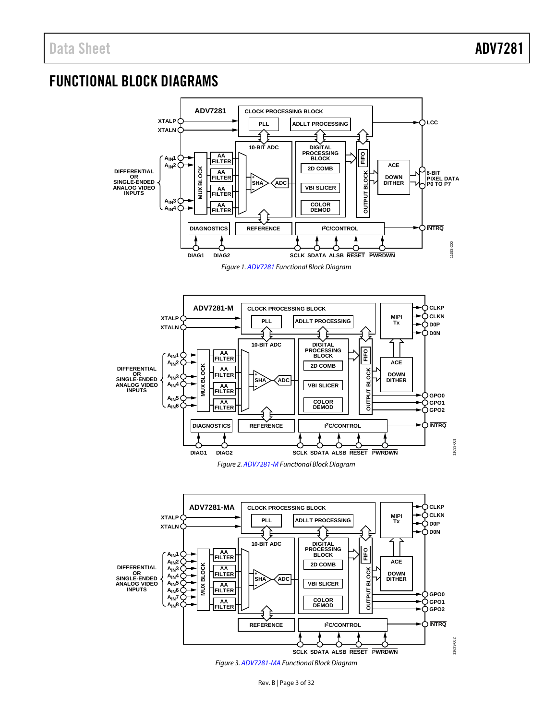### <span id="page-2-0"></span>FUNCTIONAL BLOCK DIAGRAMS



*Figure 3[. ADV7281-MA](http://www.analog.com/ADV7281?doc=ADV7281.pdf) Functional Block Diagram*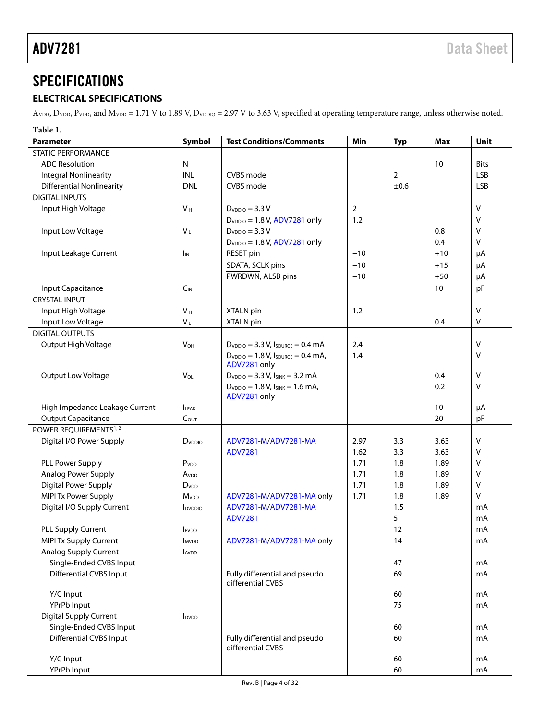### <span id="page-3-0"></span>**SPECIFICATIONS**

### <span id="page-3-1"></span>**ELECTRICAL SPECIFICATIONS**

 $A_{\text{VDD}}$ ,  $D_{\text{VDD}}$ ,  $P_{\text{VDD}}$ , and  $M_{\text{VDD}}$  = 1.71 V to 1.89 V,  $D_{\text{VDDIO}}$  = 2.97 V to 3.63 V, specified at operating temperature range, unless otherwise noted.

**Table 1.**

| <b>Parameter</b>                                       | Symbol                     | <b>Test Conditions/Comments</b>                            | Min         | <b>Typ</b>     | <b>Max</b> | Unit        |
|--------------------------------------------------------|----------------------------|------------------------------------------------------------|-------------|----------------|------------|-------------|
| <b>STATIC PERFORMANCE</b>                              |                            |                                                            |             |                |            |             |
| <b>ADC Resolution</b>                                  | N                          |                                                            |             |                | 10         | <b>Bits</b> |
| <b>Integral Nonlinearity</b>                           | <b>INL</b>                 | CVBS mode                                                  |             | $\overline{2}$ |            | <b>LSB</b>  |
| <b>Differential Nonlinearity</b>                       | <b>DNL</b>                 | CVBS mode                                                  |             | ±0.6           |            | <b>LSB</b>  |
| <b>DIGITAL INPUTS</b>                                  |                            |                                                            |             |                |            |             |
| Input High Voltage                                     | V <sub>IH</sub>            | $DVDDIO = 3.3 V$                                           | $\mathbf 2$ |                |            | v           |
|                                                        |                            | $D_{VDIO} = 1.8 V, ADV7281$ only                           | 1.2         |                |            | V           |
| Input Low Voltage                                      | $V_{IL}$                   | $DVDDIO = 3.3 V$                                           |             |                | 0.8        | V           |
|                                                        |                            | $D_{VDIO} = 1.8 V, ADV7281$ only                           |             |                | 0.4        | v           |
| Input Leakage Current                                  | I <sub>IN</sub>            | RESET pin                                                  | $-10$       |                | $+10$      | μA          |
|                                                        |                            | SDATA, SCLK pins                                           | $-10$       |                | $+15$      | μA          |
|                                                        |                            | PWRDWN, ALSB pins                                          | $-10$       |                | $+50$      | μA          |
| Input Capacitance                                      | $C_{IN}$                   |                                                            |             |                | 10         | pF          |
| <b>CRYSTAL INPUT</b>                                   |                            |                                                            |             |                |            |             |
| Input High Voltage                                     | V <sub>IH</sub>            | XTALN pin                                                  | 1.2         |                |            | V           |
| Input Low Voltage                                      | $V_{\mathsf{IL}}$          | XTALN pin                                                  |             |                | 0.4        | V           |
| <b>DIGITAL OUTPUTS</b>                                 |                            |                                                            |             |                |            |             |
| Output High Voltage                                    | <b>V<sub>OH</sub></b>      | $D_{VDDO} = 3.3 V$ , $I_{SOURCE} = 0.4 mA$                 | 2.4         |                |            | $\vee$      |
|                                                        |                            | $D_{VDDO} = 1.8 V$ , Isource = 0.4 mA,<br>ADV7281 only     | 1.4         |                |            | v           |
| Output Low Voltage                                     | <b>V<sub>OL</sub></b>      | $D_{VDDO} = 3.3 V, I_{SINK} = 3.2 mA$                      |             |                | 0.4        | V           |
|                                                        |                            | $D_{VDDO} = 1.8 V$ , $I_{SINK} = 1.6 mA$ ,<br>ADV7281 only |             |                | 0.2        | v           |
| High Impedance Leakage Current                         | LEAK                       |                                                            |             |                | 10         | μA          |
| <b>Output Capacitance</b>                              | C <sub>OUT</sub>           |                                                            |             |                | 20         | pF          |
| POWER REQUIREMENTS <sup>1,2</sup>                      |                            |                                                            |             |                |            |             |
| Digital I/O Power Supply                               | D <sub>VDDIO</sub>         | ADV7281-M/ADV7281-MA                                       | 2.97        | 3.3            | 3.63       | v           |
|                                                        |                            | <b>ADV7281</b>                                             | 1.62        | 3.3            | 3.63       | v           |
| PLL Power Supply                                       | P <sub>VDD</sub>           |                                                            | 1.71        | 1.8            | 1.89       | v           |
| Analog Power Supply                                    | AvDD                       |                                                            | 1.71        | 1.8            | 1.89       | v           |
| <b>Digital Power Supply</b>                            | D <sub>VDD</sub>           |                                                            | 1.71        | 1.8            | 1.89       | v           |
| <b>MIPI Tx Power Supply</b>                            | <b>M</b> <sub>VDD</sub>    | ADV7281-M/ADV7281-MA only                                  | 1.71        | 1.8            | 1.89       | $\vee$      |
| Digital I/O Supply Current                             | <b>I</b> <sub>DVDDIO</sub> | ADV7281-M/ADV7281-MA                                       |             | 1.5            |            | mA          |
|                                                        |                            | <b>ADV7281</b>                                             |             | 5              |            | mA          |
| PLL Supply Current                                     | <b>IPVDD</b>               |                                                            |             | 12             |            | mA          |
| MIPI Tx Supply Current<br><b>Analog Supply Current</b> | IMVDD                      | ADV7281-M/ADV7281-MA only                                  |             | 14             |            | mA          |
| Single-Ended CVBS Input                                | <b>AVDD</b>                |                                                            |             | 47             |            |             |
| <b>Differential CVBS Input</b>                         |                            | Fully differential and pseudo                              |             | 69             |            | mA<br>mA    |
|                                                        |                            | differential CVBS                                          |             |                |            |             |
| Y/C Input                                              |                            |                                                            |             | 60             |            | mA          |
| YPrPb Input                                            |                            |                                                            |             | 75             |            | mA          |
| <b>Digital Supply Current</b>                          | <b>I</b> <sub>DVDD</sub>   |                                                            |             |                |            |             |
| Single-Ended CVBS Input                                |                            |                                                            |             | 60             |            | mA          |
| <b>Differential CVBS Input</b>                         |                            | Fully differential and pseudo<br>differential CVBS         |             | 60             |            | mA          |
| Y/C Input                                              |                            |                                                            |             | 60             |            | mA          |
| YPrPb Input                                            |                            |                                                            |             | 60             |            | mA          |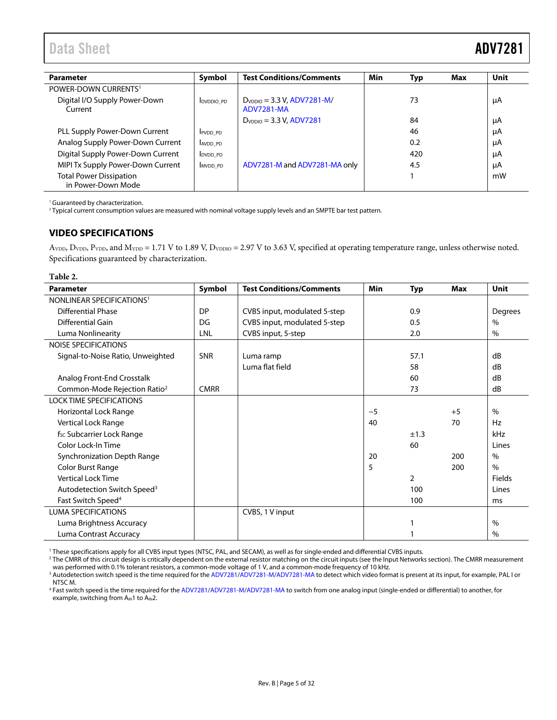<span id="page-4-2"></span>

| <b>Parameter</b>                                     | Symbol    | <b>Test Conditions/Comments</b>                     | Min | Typ | Max | Unit |
|------------------------------------------------------|-----------|-----------------------------------------------------|-----|-----|-----|------|
| POWER-DOWN CURRENTS <sup>1</sup>                     |           |                                                     |     |     |     |      |
| Digital I/O Supply Power-Down<br>Current             | DVDDIO PD | $D_{VDIO} = 3.3 V, ADV7281-M/$<br><b>ADV7281-MA</b> |     | 73  |     | μA   |
|                                                      |           | $D_{VDDO} = 3.3 V, ADV7281$                         |     | 84  |     | μA   |
| PLL Supply Power-Down Current                        | PVDD PD   |                                                     |     | 46  |     | μA   |
| Analog Supply Power-Down Current                     | AVDD PD   |                                                     |     | 0.2 |     | μA   |
| Digital Supply Power-Down Current                    | DVDD PD   |                                                     |     | 420 |     | μA   |
| MIPI Tx Supply Power-Down Current                    | MVDD PD   | ADV7281-M and ADV7281-MA only                       |     | 4.5 |     | μA   |
| <b>Total Power Dissipation</b><br>in Power-Down Mode |           |                                                     |     |     |     | mW   |

<sup>1</sup> Guaranteed by characterization.

<sup>2</sup> Typical current consumption values are measured with nominal voltage supply levels and an SMPTE bar test pattern.

#### <span id="page-4-0"></span>**VIDEO SPECIFICATIONS**

AVDD, DVDD, PVDD, and MVDD = 1.71 V to 1.89 V, DVDDIO = 2.97 V to 3.63 V, specified at operating temperature range, unless otherwise noted. Specifications guaranteed by characterization.

#### **Table 2.**

| <b>Parameter</b>                         | Symbol      | <b>Test Conditions/Comments</b> | Min  | <b>Typ</b>     | <b>Max</b> | <b>Unit</b>   |
|------------------------------------------|-------------|---------------------------------|------|----------------|------------|---------------|
| NONLINEAR SPECIFICATIONS <sup>1</sup>    |             |                                 |      |                |            |               |
| <b>Differential Phase</b>                | DP          | CVBS input, modulated 5-step    |      | 0.9            |            | Degrees       |
| <b>Differential Gain</b>                 | DG          | CVBS input, modulated 5-step    |      | 0.5            |            | $\%$          |
| Luma Nonlinearity                        | LNL         | CVBS input, 5-step              |      | 2.0            |            | $\%$          |
| <b>NOISE SPECIFICATIONS</b>              |             |                                 |      |                |            |               |
| Signal-to-Noise Ratio, Unweighted        | <b>SNR</b>  | Luma ramp                       |      | 57.1           |            | dB            |
|                                          |             | Luma flat field                 |      | 58             |            | dB            |
| Analog Front-End Crosstalk               |             |                                 |      | 60             |            | dB            |
| Common-Mode Rejection Ratio <sup>2</sup> | <b>CMRR</b> |                                 |      | 73             |            | dB            |
| <b>LOCK TIME SPECIFICATIONS</b>          |             |                                 |      |                |            |               |
| Horizontal Lock Range                    |             |                                 | $-5$ |                | $+5$       | $\%$          |
| Vertical Lock Range                      |             |                                 | 40   |                | 70         | Hz            |
| f <sub>sc</sub> Subcarrier Lock Range    |             |                                 |      | ±1.3           |            | kHz           |
| Color Lock-In Time                       |             |                                 |      | 60             |            | Lines         |
| Synchronization Depth Range              |             |                                 | 20   |                | 200        | $\frac{0}{0}$ |
| Color Burst Range                        |             |                                 | 5    |                | 200        | $\%$          |
| <b>Vertical Lock Time</b>                |             |                                 |      | $\overline{2}$ |            | Fields        |
| Autodetection Switch Speed <sup>3</sup>  |             |                                 |      | 100            |            | Lines         |
| Fast Switch Speed <sup>4</sup>           |             |                                 |      | 100            |            | ms            |
| <b>LUMA SPECIFICATIONS</b>               |             | CVBS, 1 V input                 |      |                |            |               |
| Luma Brightness Accuracy                 |             |                                 |      |                |            | $\%$          |
| Luma Contrast Accuracy                   |             |                                 |      |                |            | $\frac{0}{0}$ |

<sup>1</sup> These specifications apply for all CVBS input types (NTSC, PAL, and SECAM), as well as for single-ended and differential CVBS inputs.

' These specifications apply for all CVBS input types (NTSC, PAL, and SECAM), as well as for single-ended and differential CVBS inputs.<br><sup>2</sup> The CMRR of this circuit design is critically dependent on the external resistor m was performed with 0.1% tolerant resistors, a common-mode voltage of 1 V, and a common-mode frequency of 10 kHz.

3 Autodetection switch speed is the time required for th[e ADV7281/ADV7281-M/ADV7281-MA t](http://www.analog.com/ADV7281?doc=ADV7281.pdf)o detect which video format is present at its input, for example, PAL I or NTSC M.

<span id="page-4-1"></span><sup>4</sup> Fast switch speed is the time required for th[e ADV7281/ADV7281-M/ADV7281-MA t](http://www.analog.com/ADV7281?doc=ADV7281.pdf)o switch from one analog input (single-ended or differential) to another, for example, switching from  $A_{IN}1$  to  $A_{IN}2$ .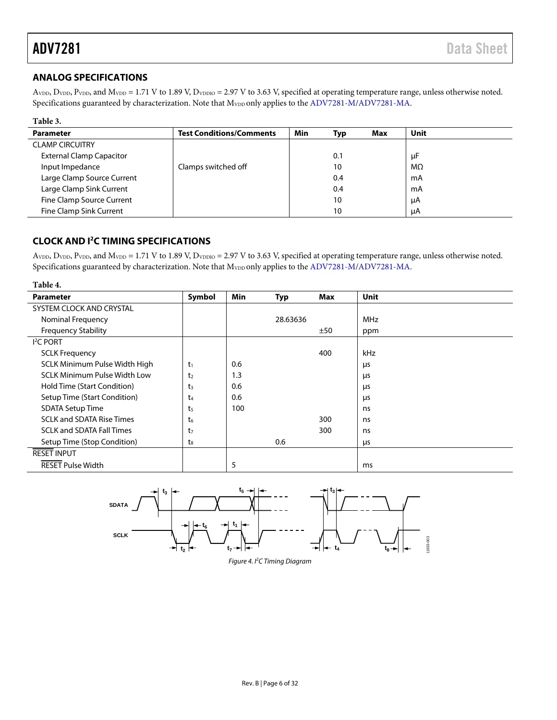### **ANALOG SPECIFICATIONS**

AVDD, DVDD, PVDD, and MVDD = 1.71 V to 1.89 V, DVDDIO = 2.97 V to 3.63 V, specified at operating temperature range, unless otherwise noted. Specifications guaranteed by characterization. Note that  $M_{\rm VDD}$  only applies to the ADV7281-M/ADV7281-MA.

| Table 3.                        |                                 |     |     |     |           |
|---------------------------------|---------------------------------|-----|-----|-----|-----------|
| <b>Parameter</b>                | <b>Test Conditions/Comments</b> | Min | Typ | Max | Unit      |
| <b>CLAMP CIRCUITRY</b>          |                                 |     |     |     |           |
| <b>External Clamp Capacitor</b> |                                 |     | 0.1 |     | μF        |
| Input Impedance                 | Clamps switched off             |     | 10  |     | $M\Omega$ |
| Large Clamp Source Current      |                                 |     | 0.4 |     | mA        |
| Large Clamp Sink Current        |                                 |     | 0.4 |     | mA        |
| Fine Clamp Source Current       |                                 |     | 10  |     | μA        |
| Fine Clamp Sink Current         |                                 |     | 10  |     | μA        |

#### <span id="page-5-0"></span>**CLOCK AND I<sup>2</sup>C TIMING SPECIFICATIONS**

Av<sub>DD</sub>, D<sub>VDD</sub>, P<sub>VDD</sub>, and M<sub>VDD</sub> = 1.71 V to 1.89 V, D<sub>VDDIO</sub> = 2.97 V to 3.63 V, specified at operating temperature range, unless otherwise noted. Specifications guaranteed by characterization. Note that  $M_{\text{VDD}}$  only applies to the ADV7281-M/ADV7281-MA.

#### **Table 4.**

| <b>Parameter</b>                    | Symbol         | <b>Min</b> | <b>Typ</b> | Max | Unit       |
|-------------------------------------|----------------|------------|------------|-----|------------|
| SYSTEM CLOCK AND CRYSTAL            |                |            |            |     |            |
| Nominal Frequency                   |                |            | 28.63636   |     | <b>MHz</b> |
| <b>Frequency Stability</b>          |                |            |            | ±50 | ppm        |
| <b>I<sup>2</sup>C PORT</b>          |                |            |            |     |            |
| <b>SCLK Frequency</b>               |                |            |            | 400 | kHz        |
| SCLK Minimum Pulse Width High       | $t_1$          | 0.6        |            |     | μs         |
| <b>SCLK Minimum Pulse Width Low</b> | t <sub>2</sub> | 1.3        |            |     | μs         |
| Hold Time (Start Condition)         | t3             | 0.6        |            |     | μs         |
| Setup Time (Start Condition)        | t4             | 0.6        |            |     | μs         |
| <b>SDATA Setup Time</b>             | ts.            | 100        |            |     | ns         |
| <b>SCLK and SDATA Rise Times</b>    | t6             |            |            | 300 | ns         |
| <b>SCLK and SDATA Fall Times</b>    | t7             |            |            | 300 | ns         |
| Setup Time (Stop Condition)         | ts             |            | 0.6        |     | μs         |
| <b>RESET INPUT</b>                  |                |            |            |     |            |
| <b>RESET Pulse Width</b>            |                | 5          |            |     | ms         |



Figure 4. PC Timing Diagram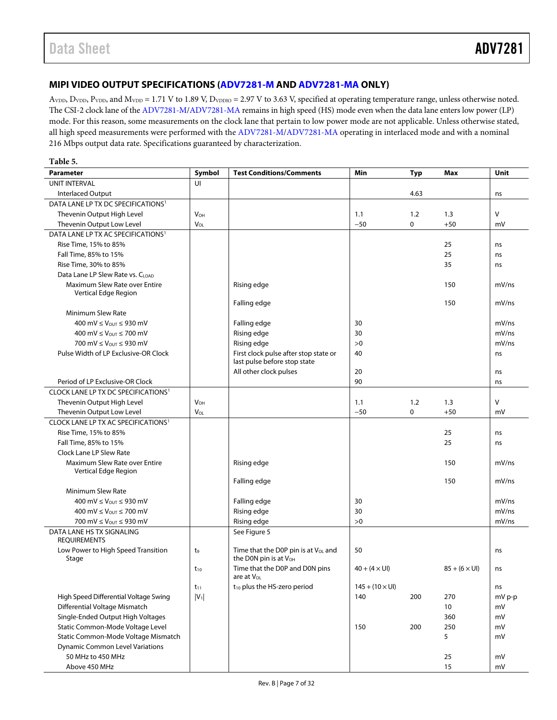#### <span id="page-6-0"></span>**MIPI VIDEO OUTPUT SPECIFICATIONS [\(ADV7281-M A](http://www.analog.com/ADV7281?doc=ADV7281.pdf)N[D ADV7281-MA O](http://www.analog.com/ADV7281?doc=ADV7281.pdf)NLY)**

AVDD, DVDD, PVDD, and MVDD = 1.71 V to 1.89 V, DVDDIO = 2.97 V to 3.63 V, specified at operating temperature range, unless otherwise noted. The CSI-2 clock lane of th[e ADV7281-M](http://www.analog.com/ADV7281?doc=ADV7281.pdf)[/ADV7281-MA](http://www.analog.com/ADV7281?doc=ADV7281.PDF) remains in high speed (HS) mode even when the data lane enters low power (LP) mode. For this reason, some measurements on the clock lane that pertain to low power mode are not applicable. Unless otherwise stated, all high speed measurements were performed with th[e ADV7281-M/](http://www.analog.com/ADV7281?doc=ADV7281.pdf)[ADV7281-MA o](http://www.analog.com/ADV7281?doc=ADV7281.PDF)perating in interlaced mode and with a nominal 216 Mbps output data rate. Specifications guaranteed by characterization.

| Parameter                                             | Symbol                | <b>Test Conditions/Comments</b>                                                      | Min                           | <b>Typ</b> | Max                         | Unit     |
|-------------------------------------------------------|-----------------------|--------------------------------------------------------------------------------------|-------------------------------|------------|-----------------------------|----------|
| <b>UNIT INTERVAL</b>                                  | UI                    |                                                                                      |                               |            |                             |          |
| Interlaced Output                                     |                       |                                                                                      |                               | 4.63       |                             | ns       |
| DATA LANE LP TX DC SPECIFICATIONS <sup>1</sup>        |                       |                                                                                      |                               |            |                             |          |
| Thevenin Output High Level                            | <b>V<sub>OH</sub></b> |                                                                                      | 1.1                           | 1.2        | 1.3                         | V        |
| Thevenin Output Low Level                             | VOL                   |                                                                                      | $-50$                         | 0          | $+50$                       | mV       |
| DATA LANE LP TX AC SPECIFICATIONS <sup>1</sup>        |                       |                                                                                      |                               |            |                             |          |
| Rise Time, 15% to 85%                                 |                       |                                                                                      |                               |            | 25                          | ns       |
| Fall Time, 85% to 15%                                 |                       |                                                                                      |                               |            | 25                          | ns       |
| Rise Time, 30% to 85%                                 |                       |                                                                                      |                               |            | 35                          | ns       |
| Data Lane LP Slew Rate vs. CLOAD                      |                       |                                                                                      |                               |            |                             |          |
| Maximum Slew Rate over Entire<br>Vertical Edge Region |                       | Rising edge                                                                          |                               |            | 150                         | mV/ns    |
|                                                       |                       | Falling edge                                                                         |                               |            | 150                         | mV/ns    |
| <b>Minimum Slew Rate</b>                              |                       |                                                                                      |                               |            |                             |          |
| 400 mV $\leq$ $V_{OUT}$ $\leq$ 930 mV                 |                       | Falling edge                                                                         | 30                            |            |                             | mV/ns    |
| 400 mV $\leq$ $V_{\text{OUT}} \leq 700$ mV            |                       | Rising edge                                                                          | 30                            |            |                             | mV/ns    |
| 700 mV $\leq$ $V_{\text{OUT}}$ $\leq$ 930 mV          |                       | Rising edge                                                                          | >0                            |            |                             | mV/ns    |
| Pulse Width of LP Exclusive-OR Clock                  |                       | First clock pulse after stop state or<br>last pulse before stop state                | 40                            |            |                             | ns       |
|                                                       |                       | All other clock pulses                                                               | 20                            |            |                             | ns       |
| Period of LP Exclusive-OR Clock                       |                       |                                                                                      | 90                            |            |                             | ns       |
| CLOCK LANE LP TX DC SPECIFICATIONS <sup>1</sup>       |                       |                                                                                      |                               |            |                             |          |
| Thevenin Output High Level                            | V <sub>OH</sub>       |                                                                                      | 1.1                           | 1.2        | 1.3                         | V        |
| Thevenin Output Low Level                             | $V_{OL}$              |                                                                                      | $-50$                         | 0          | $+50$                       | mV       |
| CLOCK LANE LP TX AC SPECIFICATIONS <sup>1</sup>       |                       |                                                                                      |                               |            |                             |          |
| Rise Time, 15% to 85%                                 |                       |                                                                                      |                               |            | 25                          | ns       |
| Fall Time, 85% to 15%                                 |                       |                                                                                      |                               |            | 25                          | ns       |
| Clock Lane LP Slew Rate                               |                       |                                                                                      |                               |            |                             |          |
| Maximum Slew Rate over Entire<br>Vertical Edge Region |                       | Rising edge                                                                          |                               |            | 150                         | mV/ns    |
|                                                       |                       | Falling edge                                                                         |                               |            | 150                         | mV/ns    |
| <b>Minimum Slew Rate</b>                              |                       |                                                                                      |                               |            |                             |          |
| 400 mV $\leq$ V <sub>OUT</sub> $\leq$ 930 mV          |                       | Falling edge                                                                         | 30                            |            |                             | mV/ns    |
| 400 mV $\leq$ $V_{\text{OUT}} \leq 700$ mV            |                       | Rising edge                                                                          | 30                            |            |                             | mV/ns    |
| 700 mV $\leq$ $V_{\text{OUT}}$ $\leq$ 930 mV          |                       | Rising edge                                                                          | >0                            |            |                             | mV/ns    |
| DATA LANE HS TX SIGNALING<br><b>REQUIREMENTS</b>      |                       | See Figure 5                                                                         |                               |            |                             |          |
| Low Power to High Speed Transition<br>Stage           | t9                    | Time that the D0P pin is at V <sub>OL</sub> and<br>the D0N pin is at V <sub>OH</sub> | 50                            |            |                             | ns       |
|                                                       | $t_{10}$              | Time that the D0P and D0N pins<br>are at V <sub>OL</sub>                             | $40 + (4 \times 1)$           |            | $85 + (6 \times \text{UI})$ | ns       |
|                                                       | $t_{11}$              | t <sub>10</sub> plus the HS-zero period                                              | $145 + (10 \times \text{UI})$ |            |                             | ns       |
| High Speed Differential Voltage Swing                 | $ V_1 $               |                                                                                      | 140                           | 200        | 270                         | $mV p-p$ |
| Differential Voltage Mismatch                         |                       |                                                                                      |                               |            | 10                          | mV       |
| Single-Ended Output High Voltages                     |                       |                                                                                      |                               |            | 360                         | mV       |
| Static Common-Mode Voltage Level                      |                       |                                                                                      | 150                           | 200        | 250                         | mV       |
| Static Common-Mode Voltage Mismatch                   |                       |                                                                                      |                               |            | 5                           | mV       |
| <b>Dynamic Common Level Variations</b>                |                       |                                                                                      |                               |            |                             |          |
| 50 MHz to 450 MHz                                     |                       |                                                                                      |                               |            | 25                          | mV       |
| Above 450 MHz                                         |                       |                                                                                      |                               |            | 15                          | mV       |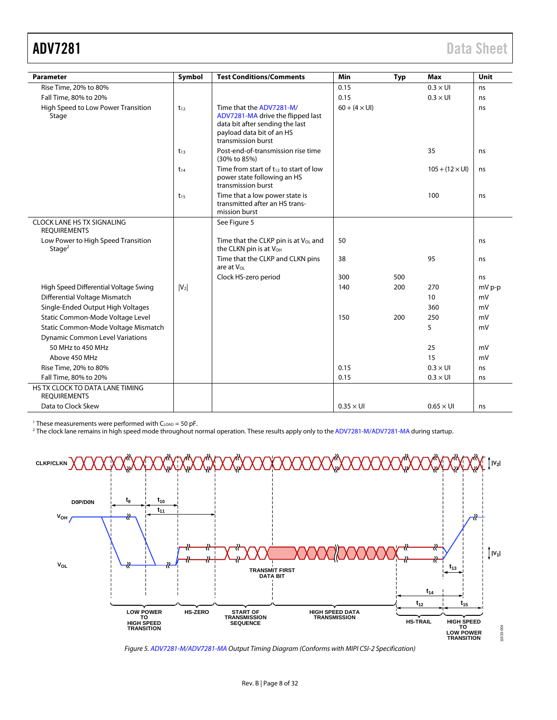<span id="page-7-1"></span>

| <b>Parameter</b>                                         | Symbol   | <b>Test Conditions/Comments</b>                                                                                                                     | Min                         | Typ | Max                           | Unit   |
|----------------------------------------------------------|----------|-----------------------------------------------------------------------------------------------------------------------------------------------------|-----------------------------|-----|-------------------------------|--------|
| Rise Time, 20% to 80%                                    |          |                                                                                                                                                     | 0.15                        |     | $0.3 \times U1$               | ns     |
| Fall Time, 80% to 20%                                    |          |                                                                                                                                                     | 0.15                        |     | $0.3 \times$ UI               | ns     |
| High Speed to Low Power Transition<br>Stage              | $t_{12}$ | Time that the ADV7281-M/<br>ADV7281-MA drive the flipped last<br>data bit after sending the last<br>payload data bit of an HS<br>transmission burst | $60 + (4 \times \text{UI})$ |     |                               | ns     |
|                                                          | $t_{13}$ | Post-end-of-transmission rise time<br>(30% to 85%)                                                                                                  |                             |     | 35                            | ns     |
|                                                          | $t_{14}$ | Time from start of $t_{12}$ to start of low<br>power state following an HS<br>transmission burst                                                    |                             |     | $105 + (12 \times \text{UI})$ | ns     |
|                                                          | $t_{15}$ | Time that a low power state is<br>transmitted after an HS trans-<br>mission burst                                                                   |                             |     | 100                           | ns     |
| <b>CLOCK LANE HS TX SIGNALING</b><br><b>REQUIREMENTS</b> |          | See Figure 5                                                                                                                                        |                             |     |                               |        |
| Low Power to High Speed Transition<br>Stage $2$          |          | Time that the CLKP pin is at $V_{OL}$ and<br>the CLKN pin is at $V_{OH}$                                                                            | 50                          |     |                               | ns     |
|                                                          |          | Time that the CLKP and CLKN pins<br>are at V <sub>ol</sub>                                                                                          | 38                          |     | 95                            | ns     |
|                                                          |          | Clock HS-zero period                                                                                                                                | 300                         | 500 |                               | ns     |
| High Speed Differential Voltage Swing                    | $ V_2 $  |                                                                                                                                                     | 140                         | 200 | 270                           | mV p-p |
| Differential Voltage Mismatch                            |          |                                                                                                                                                     |                             |     | 10 <sup>°</sup>               | mV     |
| Single-Ended Output High Voltages                        |          |                                                                                                                                                     |                             |     | 360                           | mV     |
| Static Common-Mode Voltage Level                         |          |                                                                                                                                                     | 150                         | 200 | 250                           | mV     |
| Static Common-Mode Voltage Mismatch                      |          |                                                                                                                                                     |                             |     | 5                             | mV     |
| <b>Dynamic Common Level Variations</b>                   |          |                                                                                                                                                     |                             |     |                               |        |
| 50 MHz to 450 MHz                                        |          |                                                                                                                                                     |                             |     | 25                            | mV     |
| Above 450 MHz                                            |          |                                                                                                                                                     |                             |     | 15                            | mV     |
| Rise Time, 20% to 80%                                    |          |                                                                                                                                                     | 0.15                        |     | $0.3 \times$ UI               | ns     |
| Fall Time, 80% to 20%                                    |          |                                                                                                                                                     | 0.15                        |     | $0.3 \times$ UI               | ns     |
| HS TX CLOCK TO DATA LANE TIMING<br><b>REOUIREMENTS</b>   |          |                                                                                                                                                     |                             |     |                               |        |
| Data to Clock Skew                                       |          |                                                                                                                                                     | $0.35 \times U1$            |     | $0.65 \times U1$              | ns     |

<sup>1</sup> These measurements were performed with C<sub>LOAD</sub> = 50 pF.<br><sup>2</sup> The clock lane remains in high speed mode throughout n

The clock lane remains in high speed mode throughout normal operation. These results apply only to th[e ADV7281-M](http://www.analog.com/ADV7281?doc=ADV7281.pdf)[/ADV7281-MA d](http://www.analog.com/ADV7281?doc=ADV7281.PDF)uring startup.



<span id="page-7-0"></span>Figure 5[. ADV7281-M](http://www.analog.com/ADV7281?doc=ADV7281.pdf)[/ADV7281-MA O](http://www.analog.com/ADV7281?doc=ADV7281.PDF)utput Timing Diagram (Conforms with MIPI CSI-2 Specification)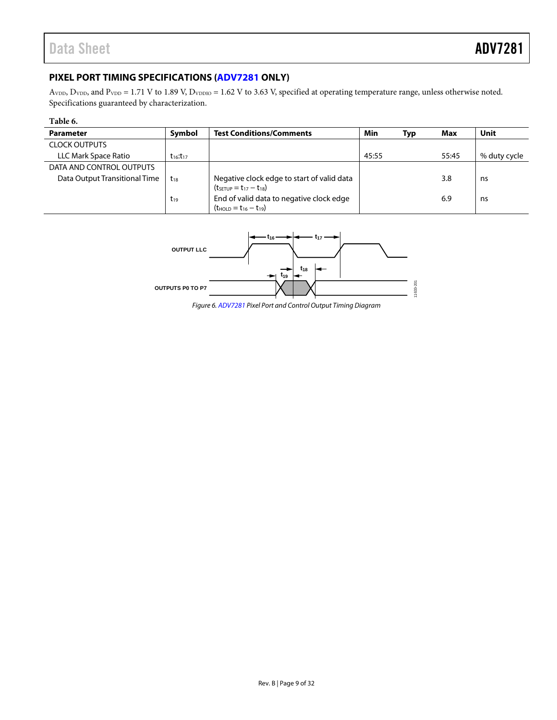### <span id="page-8-0"></span>**PIXEL PORT TIMING SPECIFICATIONS [\(ADV7281](http://www.analog.com/ADV7281?doc=ADV7281.pdf) ONLY)**

AVDD, DVDD, and PVDD = 1.71 V to 1.89 V, DVDDIO = 1.62 V to 3.63 V, specified at operating temperature range, unless otherwise noted. Specifications guaranteed by characterization.

| Table 6.                      |                 |                                                                               |       |     |       |              |
|-------------------------------|-----------------|-------------------------------------------------------------------------------|-------|-----|-------|--------------|
| <b>Parameter</b>              | Symbol          | <b>Test Conditions/Comments</b>                                               | Min   | Typ | Max   | Unit         |
| <b>CLOCK OUTPUTS</b>          |                 |                                                                               |       |     |       |              |
| <b>LLC Mark Space Ratio</b>   | $t_{16}:t_{17}$ |                                                                               | 45:55 |     | 55:45 | % duty cycle |
| DATA AND CONTROL OUTPUTS      |                 |                                                                               |       |     |       |              |
| Data Output Transitional Time | $t_{18}$        | Negative clock edge to start of valid data<br>$(t_{SFTUP} = t_{17} - t_{18})$ |       |     | 3.8   | ns           |
|                               | $t_{19}$        | End of valid data to negative clock edge<br>$(t_{HOLD} = t_{16} - t_{19})$    |       |     | 6.9   | ns           |



Figure 6[. ADV7281 P](http://www.analog.com/ADV7281?doc=ADV7281.pdf)ixel Port and Control Output Timing Diagram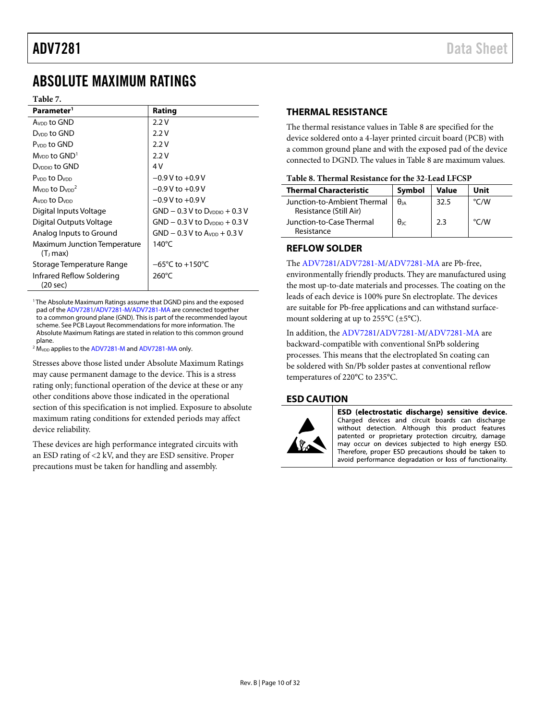### <span id="page-9-0"></span>ABSOLUTE MAXIMUM RATINGS

#### **Table 7.**

| Parameter <sup>1</sup>                               | Rating                               |
|------------------------------------------------------|--------------------------------------|
| Avon to GND                                          | 2.2V                                 |
| D <sub>vnn</sub> to GND                              | 2.2V                                 |
| P <sub>vnn</sub> to GND                              | 2.2V                                 |
| $MVDD$ to $GND1$                                     | 2.2V                                 |
| D <sub>vDDIO</sub> to GND                            | 4 V                                  |
| Pynn to Dynn                                         | $-0.9$ V to $+0.9$ V                 |
| Mynn to Dynn <sup>2</sup>                            | $-0.9$ V to $+0.9$ V                 |
| Avon to Dvon                                         | $-0.9V$ to $+0.9V$                   |
| Digital Inputs Voltage                               | $GND - 0.3 V$ to $D_{YDDIO} + 0.3 V$ |
| Digital Outputs Voltage                              | $GND - 0.3 V$ to Dyppin + 0.3 V      |
| Analog Inputs to Ground                              | $GND - 0.3 V$ to $AVDD + 0.3 V$      |
| Maximum Junction Temperature<br>(T <sub>J</sub> max) | 140 $\mathrm{^{\circ}C}$             |
| Storage Temperature Range                            | $-65^{\circ}$ C to $+150^{\circ}$ C  |
| Infrared Reflow Soldering<br>(20 sec)                | $260^{\circ}$ C                      |

<sup>1</sup> The Absolute Maximum Ratings assume that DGND pins and the exposed pad of th[e ADV7281](http://www.analog.com/ADV7281?doc=ADV7281.pdf)[/ADV7281-M/ADV7281-MA](http://www.analog.com/ADV7281?doc=ADV7281.PDF) are connected together to a common ground plane (GND). This is part of the recommended layout scheme. Se[e PCB Layout Recommendations](#page-26-0) for more information. The Absolute Maximum Ratings are stated in relation to this common ground plane.

<sup>2</sup> M<sub>VDD</sub> applies to th[e ADV7281-M](http://www.analog.com/ADV7281?doc=ADV7281.PDF) an[d ADV7281-MA](http://www.analog.com/ADV7281?doc=ADV7281.PDF) only.

Stresses above those listed under Absolute Maximum Ratings may cause permanent damage to the device. This is a stress rating only; functional operation of the device at these or any other conditions above those indicated in the operational section of this specification is not implied. Exposure to absolute maximum rating conditions for extended periods may affect device reliability.

These devices are high performance integrated circuits with an ESD rating of <2 kV, and they are ESD sensitive. Proper precautions must be taken for handling and assembly.

#### <span id="page-9-1"></span>**THERMAL RESISTANCE**

The thermal resistance values in [Table 8](#page-9-4) are specified for the device soldered onto a 4-layer printed circuit board (PCB) with a common ground plane and with the exposed pad of the device connected to DGND. The values i[n Table 8](#page-9-4) are maximum values.

#### <span id="page-9-4"></span>**Table 8. Thermal Resistance for the 32-Lead LFCSP**

| <b>Thermal Characteristic</b>                         | Symbol      | Value | Unit          |
|-------------------------------------------------------|-------------|-------|---------------|
| Junction-to-Ambient Thermal<br>Resistance (Still Air) | θıa         | 32.5  | $\degree$ C/W |
| Junction-to-Case Thermal<br>Resistance                | $\theta$ ıc | 2.3   | $\degree$ C/W |

#### <span id="page-9-2"></span>**REFLOW SOLDER**

The [ADV7281](http://www.analog.com/ADV7281?doc=ADV7281.pdf)[/ADV7281-M/ADV7281-MA](http://www.analog.com/ADV7281?doc=ADV7281.PDF) are Pb-free, environmentally friendly products. They are manufactured using the most up-to-date materials and processes. The coating on the leads of each device is 100% pure Sn electroplate. The devices are suitable for Pb-free applications and can withstand surfacemount soldering at up to  $255^{\circ}C$  ( $\pm 5^{\circ}C$ ).

In addition, the [ADV7281/](http://www.analog.com/ADV7281?doc=ADV7281.pdf)[ADV7281-M/ADV7281-MA](http://www.analog.com/ADV7281?doc=ADV7281.PDF) are backward-compatible with conventional SnPb soldering processes. This means that the electroplated Sn coating can be soldered with Sn/Pb solder pastes at conventional reflow temperatures of 220°C to 235°C.

#### <span id="page-9-3"></span>**ESD CAUTION**



ESD (electrostatic discharge) sensitive device. Charged devices and circuit boards can discharge without detection. Although this product features patented or proprietary protection circuitry, damage may occur on devices subjected to high energy ESD. Therefore, proper ESD precautions should be taken to avoid performance degradation or loss of functionality.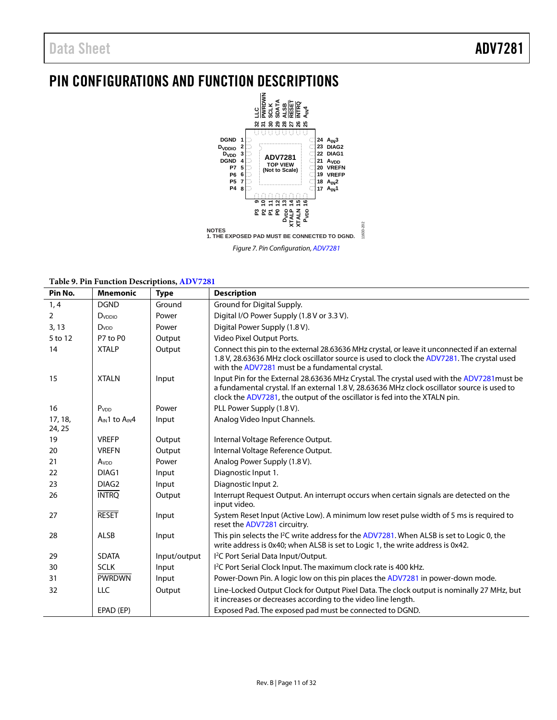## <span id="page-10-0"></span>PIN CONFIGURATIONS AND FUNCTION DESCRIPTIONS



*Figure 7. Pin Configuration[, ADV7281](http://www.analog.com/ADV7281?doc=ADV7281.pdf)*

**Table 9. Pin Function Descriptions[, ADV7281](http://www.analog.com/ADV7281?doc=ADV7281.pdf)**

| Pin No.           | <b>Mnemonic</b>   | <b>Type</b>  | <b>Description</b>                                                                                                                                                                                                                                                      |
|-------------------|-------------------|--------------|-------------------------------------------------------------------------------------------------------------------------------------------------------------------------------------------------------------------------------------------------------------------------|
| 1, 4              | <b>DGND</b>       | Ground       | Ground for Digital Supply.                                                                                                                                                                                                                                              |
| $\overline{2}$    | DVDDIO            | Power        | Digital I/O Power Supply (1.8 V or 3.3 V).                                                                                                                                                                                                                              |
| 3, 13             | D <sub>VDD</sub>  | Power        | Digital Power Supply (1.8 V).                                                                                                                                                                                                                                           |
| 5 to 12           | P7 to P0          | Output       | Video Pixel Output Ports.                                                                                                                                                                                                                                               |
| 14                | <b>XTALP</b>      | Output       | Connect this pin to the external 28.63636 MHz crystal, or leave it unconnected if an external<br>1.8 V, 28.63636 MHz clock oscillator source is used to clock the ADV7281. The crystal used<br>with the ADV7281 must be a fundamental crystal.                          |
| 15                | <b>XTALN</b>      | Input        | Input Pin for the External 28.63636 MHz Crystal. The crystal used with the ADV7281must be<br>a fundamental crystal. If an external 1.8 V, 28.63636 MHz clock oscillator source is used to<br>clock the ADV7281, the output of the oscillator is fed into the XTALN pin. |
| 16                | Pvpp              | Power        | PLL Power Supply (1.8 V).                                                                                                                                                                                                                                               |
| 17, 18,<br>24, 25 | AIN1 to AIN4      | Input        | Analog Video Input Channels.                                                                                                                                                                                                                                            |
| 19                | <b>VREFP</b>      | Output       | Internal Voltage Reference Output.                                                                                                                                                                                                                                      |
| 20                | <b>VREFN</b>      | Output       | Internal Voltage Reference Output.                                                                                                                                                                                                                                      |
| 21                | Av <sub>DD</sub>  | Power        | Analog Power Supply (1.8 V).                                                                                                                                                                                                                                            |
| 22                | DIAG1             | Input        | Diagnostic Input 1.                                                                                                                                                                                                                                                     |
| 23                | DIAG <sub>2</sub> | Input        | Diagnostic Input 2.                                                                                                                                                                                                                                                     |
| 26                | <b>INTRQ</b>      | Output       | Interrupt Request Output. An interrupt occurs when certain signals are detected on the<br>input video.                                                                                                                                                                  |
| 27                | <b>RESET</b>      | Input        | System Reset Input (Active Low). A minimum low reset pulse width of 5 ms is required to<br>reset the ADV7281 circuitry.                                                                                                                                                 |
| 28                | <b>ALSB</b>       | Input        | This pin selects the <sup>12</sup> C write address for the ADV7281. When ALSB is set to Logic 0, the<br>write address is 0x40; when ALSB is set to Logic 1, the write address is 0x42.                                                                                  |
| 29                | <b>SDATA</b>      | Input/output | I <sup>2</sup> C Port Serial Data Input/Output.                                                                                                                                                                                                                         |
| 30                | <b>SCLK</b>       | Input        | I <sup>2</sup> C Port Serial Clock Input. The maximum clock rate is 400 kHz.                                                                                                                                                                                            |
| 31                | <b>PWRDWN</b>     | Input        | Power-Down Pin. A logic low on this pin places the ADV7281 in power-down mode.                                                                                                                                                                                          |
| 32                | <b>LLC</b>        | Output       | Line-Locked Output Clock for Output Pixel Data. The clock output is nominally 27 MHz, but<br>it increases or decreases according to the video line length.                                                                                                              |
|                   | EPAD (EP)         |              | Exposed Pad. The exposed pad must be connected to DGND.                                                                                                                                                                                                                 |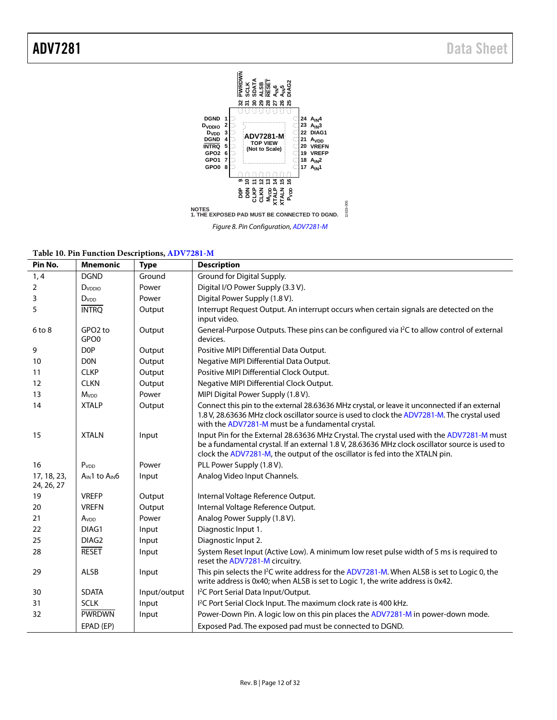

*Figure 8. Pin Configuration[, ADV7281-M](http://www.analog.com/ADV7281?doc=ADV7281.pdf)*

|  |  |  | Table 10. Pin Function Descriptions, ADV7281-M |  |
|--|--|--|------------------------------------------------|--|
|--|--|--|------------------------------------------------|--|

| Pin No.                   | <b>Mnemonic</b>          | <b>Type</b>  | <b>Description</b>                                                                                                                                                                                                                                                           |
|---------------------------|--------------------------|--------------|------------------------------------------------------------------------------------------------------------------------------------------------------------------------------------------------------------------------------------------------------------------------------|
| 1, 4                      | <b>DGND</b>              | Ground       | Ground for Digital Supply.                                                                                                                                                                                                                                                   |
| 2                         | DVDDIO                   | Power        | Digital I/O Power Supply (3.3 V).                                                                                                                                                                                                                                            |
| 3                         | D <sub>VDD</sub>         | Power        | Digital Power Supply (1.8 V).                                                                                                                                                                                                                                                |
| 5                         | <b>INTRQ</b>             | Output       | Interrupt Request Output. An interrupt occurs when certain signals are detected on the                                                                                                                                                                                       |
|                           |                          |              | input video.                                                                                                                                                                                                                                                                 |
| $6$ to $8$                | GPO <sub>2</sub> to      | Output       | General-Purpose Outputs. These pins can be configured via I <sup>2</sup> C to allow control of external                                                                                                                                                                      |
|                           | GPO <sub>0</sub>         |              | devices.                                                                                                                                                                                                                                                                     |
| 9                         | D <sub>OP</sub>          | Output       | Positive MIPI Differential Data Output.                                                                                                                                                                                                                                      |
| 10                        | <b>DON</b>               | Output       | Negative MIPI Differential Data Output.                                                                                                                                                                                                                                      |
| 11                        | <b>CLKP</b>              | Output       | Positive MIPI Differential Clock Output.                                                                                                                                                                                                                                     |
| 12                        | <b>CLKN</b>              | Output       | Negative MIPI Differential Clock Output.                                                                                                                                                                                                                                     |
| 13                        | <b>M</b> v <sub>DD</sub> | Power        | MIPI Digital Power Supply (1.8 V).                                                                                                                                                                                                                                           |
| 14                        | <b>XTALP</b>             | Output       | Connect this pin to the external 28.63636 MHz crystal, or leave it unconnected if an external<br>1.8 V, 28.63636 MHz clock oscillator source is used to clock the ADV7281-M. The crystal used<br>with the ADV7281-M must be a fundamental crystal.                           |
| 15                        | <b>XTALN</b>             | Input        | Input Pin for the External 28.63636 MHz Crystal. The crystal used with the ADV7281-M must<br>be a fundamental crystal. If an external 1.8 V, 28.63636 MHz clock oscillator source is used to<br>clock the ADV7281-M, the output of the oscillator is fed into the XTALN pin. |
| 16                        | P <sub>VDD</sub>         | Power        | PLL Power Supply (1.8 V).                                                                                                                                                                                                                                                    |
| 17, 18, 23,<br>24, 26, 27 | AIN1 to AIN6             | Input        | Analog Video Input Channels.                                                                                                                                                                                                                                                 |
| 19                        | <b>VREFP</b>             | Output       | Internal Voltage Reference Output.                                                                                                                                                                                                                                           |
| 20                        | <b>VREFN</b>             | Output       | Internal Voltage Reference Output.                                                                                                                                                                                                                                           |
| 21                        | Av <sub>DD</sub>         | Power        | Analog Power Supply (1.8 V).                                                                                                                                                                                                                                                 |
| 22                        | DIAG1                    | Input        | Diagnostic Input 1.                                                                                                                                                                                                                                                          |
| 25                        | DIAG <sub>2</sub>        | Input        | Diagnostic Input 2.                                                                                                                                                                                                                                                          |
| 28                        | <b>RESET</b>             | Input        | System Reset Input (Active Low). A minimum low reset pulse width of 5 ms is required to<br>reset the ADV7281-M circuitry.                                                                                                                                                    |
| 29                        | ALSB                     | Input        | This pin selects the <sup>2</sup> C write address for the ADV7281-M. When ALSB is set to Logic 0, the<br>write address is 0x40; when ALSB is set to Logic 1, the write address is 0x42.                                                                                      |
| 30                        | <b>SDATA</b>             | Input/output | I <sup>2</sup> C Port Serial Data Input/Output.                                                                                                                                                                                                                              |
| 31                        | <b>SCLK</b>              | Input        | I <sup>2</sup> C Port Serial Clock Input. The maximum clock rate is 400 kHz.                                                                                                                                                                                                 |
| 32                        | <b>PWRDWN</b>            | Input        | Power-Down Pin. A logic low on this pin places the ADV7281-M in power-down mode.                                                                                                                                                                                             |
|                           | EPAD (EP)                |              | Exposed Pad. The exposed pad must be connected to DGND.                                                                                                                                                                                                                      |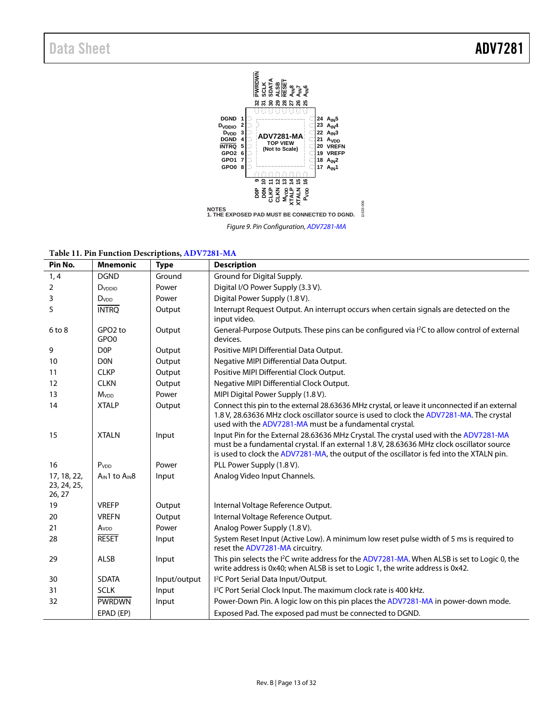

**Table 11. Pin Function Descriptions, [ADV7281-MA](http://www.analog.com/ADV7281?doc=ADV7281.pdf)**

| Pin No.                              | <b>Mnemonic</b>                         | <b>Type</b>  | <b>Description</b>                                                                                                                                                                                                                                                             |
|--------------------------------------|-----------------------------------------|--------------|--------------------------------------------------------------------------------------------------------------------------------------------------------------------------------------------------------------------------------------------------------------------------------|
| 1, 4                                 | <b>DGND</b>                             | Ground       | Ground for Digital Supply.                                                                                                                                                                                                                                                     |
| 2                                    | DVDDIO                                  | Power        | Digital I/O Power Supply (3.3 V).                                                                                                                                                                                                                                              |
| 3                                    | <b>D</b> <sub>v</sub> <sub>D</sub>      | Power        | Digital Power Supply (1.8 V).                                                                                                                                                                                                                                                  |
| 5                                    | <b>INTRQ</b>                            | Output       | Interrupt Request Output. An interrupt occurs when certain signals are detected on the<br>input video.                                                                                                                                                                         |
| $6$ to $8$                           | GPO <sub>2</sub> to<br>GPO <sub>0</sub> | Output       | General-Purpose Outputs. These pins can be configured via I <sup>2</sup> C to allow control of external<br>devices.                                                                                                                                                            |
| 9                                    | D <sub>OP</sub>                         | Output       | Positive MIPI Differential Data Output.                                                                                                                                                                                                                                        |
| 10                                   | <b>DON</b>                              | Output       | Negative MIPI Differential Data Output.                                                                                                                                                                                                                                        |
| 11                                   | <b>CLKP</b>                             | Output       | Positive MIPI Differential Clock Output.                                                                                                                                                                                                                                       |
| 12                                   | <b>CLKN</b>                             | Output       | Negative MIPI Differential Clock Output.                                                                                                                                                                                                                                       |
| 13                                   | <b>M</b> <sub>vDD</sub>                 | Power        | MIPI Digital Power Supply (1.8 V).                                                                                                                                                                                                                                             |
| 14                                   | <b>XTALP</b>                            | Output       | Connect this pin to the external 28.63636 MHz crystal, or leave it unconnected if an external<br>1.8 V, 28.63636 MHz clock oscillator source is used to clock the ADV7281-MA. The crystal<br>used with the ADV7281-MA must be a fundamental crystal.                           |
| 15                                   | <b>XTALN</b>                            | Input        | Input Pin for the External 28.63636 MHz Crystal. The crystal used with the ADV7281-MA<br>must be a fundamental crystal. If an external 1.8 V, 28.63636 MHz clock oscillator source<br>is used to clock the ADV7281-MA, the output of the oscillator is fed into the XTALN pin. |
| 16                                   | Pvpp                                    | Power        | PLL Power Supply (1.8 V).                                                                                                                                                                                                                                                      |
| 17, 18, 22,<br>23, 24, 25,<br>26, 27 | AIN1 to AIN8                            | Input        | Analog Video Input Channels.                                                                                                                                                                                                                                                   |
| 19                                   | <b>VREFP</b>                            | Output       | Internal Voltage Reference Output.                                                                                                                                                                                                                                             |
| 20                                   | <b>VREFN</b>                            | Output       | Internal Voltage Reference Output.                                                                                                                                                                                                                                             |
| 21                                   | Av <sub>DD</sub>                        | Power        | Analog Power Supply (1.8 V).                                                                                                                                                                                                                                                   |
| 28                                   | <b>RESET</b>                            | Input        | System Reset Input (Active Low). A minimum low reset pulse width of 5 ms is required to<br>reset the ADV7281-MA circuitry.                                                                                                                                                     |
| 29                                   | ALSB                                    | Input        | This pin selects the <sup>2</sup> C write address for the ADV7281-MA. When ALSB is set to Logic 0, the<br>write address is 0x40; when ALSB is set to Logic 1, the write address is 0x42.                                                                                       |
| 30                                   | <b>SDATA</b>                            | Input/output | I <sup>2</sup> C Port Serial Data Input/Output.                                                                                                                                                                                                                                |
| 31                                   | <b>SCLK</b>                             | Input        | I <sup>2</sup> C Port Serial Clock Input. The maximum clock rate is 400 kHz.                                                                                                                                                                                                   |
| 32                                   | <b>PWRDWN</b>                           | Input        | Power-Down Pin. A logic low on this pin places the ADV7281-MA in power-down mode.                                                                                                                                                                                              |
|                                      | EPAD (EP)                               |              | Exposed Pad. The exposed pad must be connected to DGND.                                                                                                                                                                                                                        |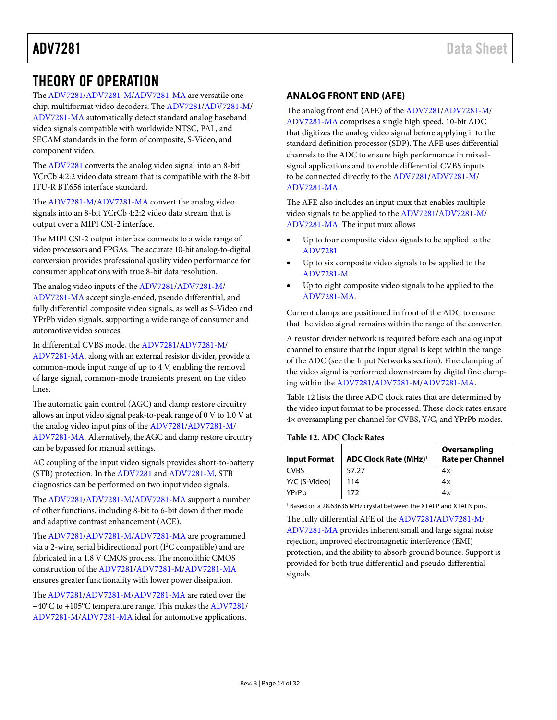### <span id="page-13-0"></span>THEORY OF OPERATION

The [ADV7281/](http://www.analog.com/ADV7281?doc=ADV7281.pdf)[ADV7281-M/ADV7281-MA a](http://www.analog.com/ADV7281?doc=ADV7281.PDF)re versatile onechip, multiformat video decoders. Th[e ADV7281](http://www.analog.com/ADV7281?doc=ADV7281.pdf)[/ADV7281-M/](http://www.analog.com/ADV7281?doc=ADV7281.PDF) [ADV7281-MA a](http://www.analog.com/ADV7281?doc=ADV7281.PDF)utomatically detect standard analog baseband video signals compatible with worldwide NTSC, PAL, and SECAM standards in the form of composite, S-Video, and component video.

The [ADV7281 c](http://www.analog.com/ADV7281?doc=ADV7281.pdf)onverts the analog video signal into an 8-bit YCrCb 4:2:2 video data stream that is compatible with the 8-bit ITU-R BT.656 interface standard.

The [ADV7281-M/ADV7281-MA](http://www.analog.com/ADV7281?doc=ADV7281.PDF) convert the analog video signals into an 8-bit YCrCb 4:2:2 video data stream that is output over a MIPI CSI-2 interface.

The MIPI CSI-2 output interface connects to a wide range of video processors and FPGAs. The accurate 10-bit analog-to-digital conversion provides professional quality video performance for consumer applications with true 8-bit data resolution.

The analog video inputs of the [ADV7281](http://www.analog.com/ADV7281?doc=ADV7281.pdf)[/ADV7281-M/](http://www.analog.com/ADV7281?doc=ADV7281.PDF) [ADV7281-MA a](http://www.analog.com/ADV7281?doc=ADV7281.PDF)ccept single-ended, pseudo differential, and

fully differential composite video signals, as well as S-Video and YPrPb video signals, supporting a wide range of consumer and automotive video sources.

In differential CVBS mode, the [ADV7281](http://www.analog.com/ADV7281?doc=ADV7281.pdf)[/ADV7281-M/](http://www.analog.com/ADV7281?doc=ADV7281.PDF)

[ADV7281-MA,](http://www.analog.com/ADV7281?doc=ADV7281.PDF) along with an external resistor divider, provide a common-mode input range of up to 4 V, enabling the removal of large signal, common-mode transients present on the video lines.

The automatic gain control (AGC) and clamp restore circuitry allows an input video signal peak-to-peak range of 0 V to 1.0 V at the analog video input pins of the [ADV7281/](http://www.analog.com/ADV7281?doc=ADV7281.pdf)[ADV7281-M/](http://www.analog.com/ADV7281?doc=ADV7281.PDF) [ADV7281-MA.](http://www.analog.com/ADV7281?doc=ADV7281.PDF) Alternatively, the AGC and clamp restore circuitry can be bypassed for manual settings.

AC coupling of the input video signals provides short-to-battery (STB) protection. In the [ADV7281 a](http://www.analog.com/ADV7281?doc=ADV7281.pdf)nd [ADV7281-M,](http://www.analog.com/ADV7281?doc=ADV7281.PDF) STB diagnostics can be performed on two input video signals.

The [ADV7281/](http://www.analog.com/ADV7281?doc=ADV7281.pdf)[ADV7281-M/ADV7281-MA s](http://www.analog.com/ADV7281?doc=ADV7281.PDF)upport a number of other functions, including 8-bit to 6-bit down dither mode and adaptive contrast enhancement (ACE).

The [ADV7281/](http://www.analog.com/ADV7281?doc=ADV7281.pdf)[ADV7281-M/ADV7281-MA a](http://www.analog.com/ADV7281?doc=ADV7281.PDF)re programmed via a 2-wire, serial bidirectional port (I<sup>2</sup>C compatible) and are fabricated in a 1.8 V CMOS process. The monolithic CMOS construction of th[e ADV7281/](http://www.analog.com/ADV7281?doc=ADV7281.pdf)[ADV7281-M/ADV7281-MA](http://www.analog.com/ADV7281?doc=ADV7281.PDF) ensures greater functionality with lower power dissipation.

Th[e ADV7281](http://www.analog.com/ADV7281?doc=ADV7281.pdf)[/ADV7281-M/ADV7281-MA](http://www.analog.com/ADV7281?doc=ADV7281.PDF) are rated over the −40°C to +105°C temperature range. This makes th[e ADV7281/](http://www.analog.com/ADV7281?doc=ADV7281.pdf) [ADV7281-M/ADV7281-MA](http://www.analog.com/ADV7281?doc=ADV7281.PDF) ideal for automotive applications.

#### <span id="page-13-1"></span>**ANALOG FRONT END (AFE)**

The analog front end (AFE) of th[e ADV7281/](http://www.analog.com/ADV7281?doc=ADV7281.pdf)[ADV7281-M/](http://www.analog.com/ADV7281?doc=ADV7281.PDF) [ADV7281-MA c](http://www.analog.com/ADV7281?doc=ADV7281.PDF)omprises a single high speed, 10-bit ADC that digitizes the analog video signal before applying it to the standard definition processor (SDP). The AFE uses differential channels to the ADC to ensure high performance in mixedsignal applications and to enable differential CVBS inputs to be connected directly to th[e ADV7281](http://www.analog.com/ADV7281?doc=ADV7281.pdf)[/ADV7281-M/](http://www.analog.com/ADV7281?doc=ADV7281.PDF) [ADV7281-MA.](http://www.analog.com/ADV7281?doc=ADV7281.PDF) 

The AFE also includes an input mux that enables multiple video signals to be applied to the [ADV7281](http://www.analog.com/ADV7281?doc=ADV7281.pdf)[/ADV7281-M/](http://www.analog.com/ADV7281?doc=ADV7281.PDF) [ADV7281-MA.](http://www.analog.com/ADV7281?doc=ADV7281.PDF) The input mux allows

- Up to four composite video signals to be applied to the [ADV7281](http://www.analog.com/ADV7281?doc=ADV7281.pdf)
- Up to six composite video signals to be applied to the [ADV7281-M](http://www.analog.com/ADV7281?doc=ADV7281.PDF)
- Up to eight composite video signals to be applied to the [ADV7281-MA.](http://www.analog.com/ADV7281?doc=ADV7281.PDF)

Current clamps are positioned in front of the ADC to ensure that the video signal remains within the range of the converter.

A resistor divider network is required before each analog input channel to ensure that the input signal is kept within the range of the ADC (see th[e Input Networks](#page-16-0) section). Fine clamping of the video signal is performed downstream by digital fine clamping within th[e ADV7281/](http://www.analog.com/ADV7281?doc=ADV7281.pdf)[ADV7281-M/ADV7281-MA.](http://www.analog.com/ADV7281?doc=ADV7281.PDF) 

[Table 12 l](#page-13-2)ists the three ADC clock rates that are determined by the video input format to be processed. These clock rates ensure 4× oversampling per channel for CVBS, Y/C, and YPrPb modes.

#### <span id="page-13-2"></span>**Table 12. ADC Clock Rates**

| <b>Input Format</b> | ADC Clock Rate (MHz) <sup>1</sup> | Oversampling<br><b>Rate per Channel</b> |
|---------------------|-----------------------------------|-----------------------------------------|
| <b>CVBS</b>         | 57.27                             | $4\times$                               |
| Y/C (S-Video)       | 114                               | $4\times$                               |
| YPrPb               | 172                               | 4×                                      |

<sup>1</sup> Based on a 28.63636 MHz crystal between the XTALP and XTALN pins.

The fully differential AFE of th[e ADV7281/](http://www.analog.com/ADV7281?doc=ADV7281.pdf)[ADV7281-M/](http://www.analog.com/ADV7281?doc=ADV7281.PDF) [ADV7281-MA p](http://www.analog.com/ADV7281?doc=ADV7281.PDF)rovides inherent small and large signal noise rejection, improved electromagnetic interference (EMI) protection, and the ability to absorb ground bounce. Support is provided for both true differential and pseudo differential signals.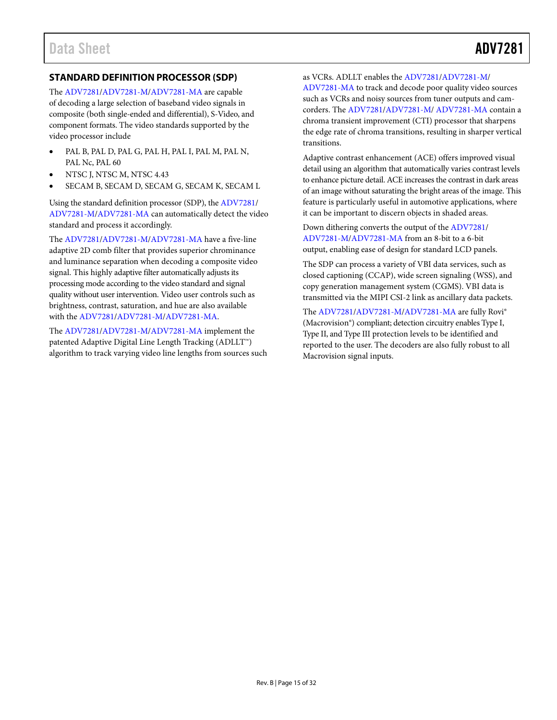### <span id="page-14-0"></span>**STANDARD DEFINITION PROCESSOR (SDP)**

The [ADV7281/ADV7281-M/ADV7281-MA](http://www.analog.com/ADV7281?doc=ADV7281.pdf) are capable of decoding a large selection of baseband video signals in composite (both single-ended and differential), S-Video, and component formats. The video standards supported by the video processor include

- PAL B, PAL D, PAL G, PAL H, PAL I, PAL M, PAL N, PAL Nc, PAL 60
- NTSC J, NTSC M, NTSC 4.43
- SECAM B, SECAM D, SECAM G, SECAM K, SECAM L

Using the standard definition processor (SDP), th[e ADV7281/](http://www.analog.com/ADV7281?doc=ADV7281.pdf) [ADV7281-M/ADV7281-MA](http://www.analog.com/ADV7281?doc=ADV7281.pdf) can automatically detect the video standard and process it accordingly.

The [ADV7281/ADV7281-M/ADV7281-MA](http://www.analog.com/ADV7281?doc=ADV7281.pdf) have a five-line adaptive 2D comb filter that provides superior chrominance and luminance separation when decoding a composite video signal. This highly adaptive filter automatically adjusts its processing mode according to the video standard and signal quality without user intervention. Video user controls such as brightness, contrast, saturation, and hue are also available with th[e ADV7281/ADV7281-M/ADV7281-MA.](http://www.analog.com/ADV7281?doc=ADV7281.pdf)

The [ADV7281/ADV7281-M/ADV7281-MA](http://www.analog.com/ADV7281?doc=ADV7281.pdf) implement the patented Adaptive Digital Line Length Tracking (ADLLT™) algorithm to track varying video line lengths from sources such as VCRs. ADLLT enables th[e ADV7281/ADV7281-M/](http://www.analog.com/ADV7281?doc=ADV7281.pdf)

[ADV7281-MA](http://www.analog.com/ADV7281?doc=ADV7281.pdf) to track and decode poor quality video sources such as VCRs and noisy sources from tuner outputs and camcorders. Th[e ADV7281/ADV7281-M/ ADV7281-MA](http://www.analog.com/ADV7281?doc=ADV7281.pdf) contain a chroma transient improvement (CTI) processor that sharpens the edge rate of chroma transitions, resulting in sharper vertical transitions.

Adaptive contrast enhancement (ACE) offers improved visual detail using an algorithm that automatically varies contrast levels to enhance picture detail. ACE increases the contrast in dark areas of an image without saturating the bright areas of the image. This feature is particularly useful in automotive applications, where it can be important to discern objects in shaded areas.

Down dithering converts the output of th[e ADV7281/](http://www.analog.com/ADV7281?doc=ADV7281.pdf) [ADV7281-M/ADV7281-MA](http://www.analog.com/ADV7281?doc=ADV7281.pdf) from an 8-bit to a 6-bit output, enabling ease of design for standard LCD panels.

The SDP can process a variety of VBI data services, such as closed captioning (CCAP), wide screen signaling (WSS), and copy generation management system (CGMS). VBI data is transmitted via the MIPI CSI-2 link as ancillary data packets.

The [ADV7281/ADV7281-M/ADV7281-MA](http://www.analog.com/ADV7281?doc=ADV7281.pdf) are fully Rovi® (Macrovision®) compliant; detection circuitry enables Type I, Type II, and Type III protection levels to be identified and reported to the user. The decoders are also fully robust to all Macrovision signal inputs.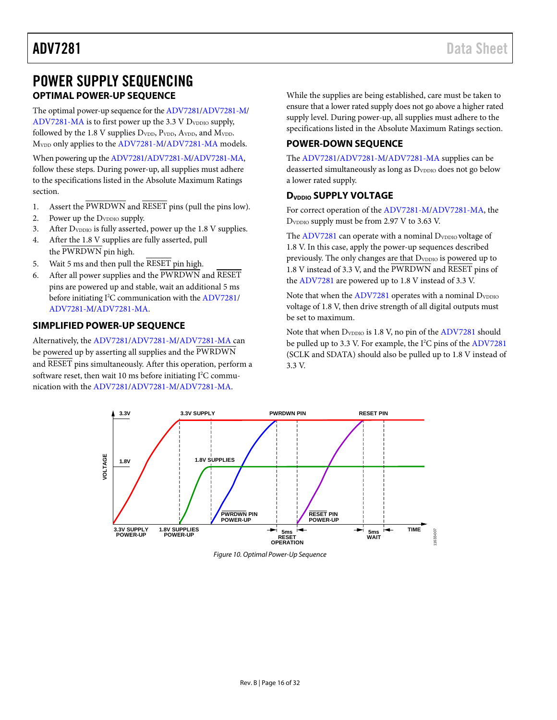### <span id="page-15-0"></span>POWER SUPPLY SEQUENCING **OPTIMAL POWER-UP SEQUENCE**

<span id="page-15-1"></span>The optimal power-up sequence for the [ADV7281/ADV7281-M/](http://www.analog.com/ADV7281?doc=ADV7281.pdf) [ADV7281-MA](http://www.analog.com/ADV7281?doc=ADV7281.pdf) is to first power up the 3.3 V D<sub>VDDIO</sub> supply, followed by the 1.8 V supplies  $D_{\text{VDD}}$ ,  $P_{\text{VDD}}$ ,  $A_{\text{VDD}}$ , and  $M_{\text{VDD}}$ . M<sub>VDD</sub> only applies to the [ADV7281-M/ADV7281-MA](http://www.analog.com/ADV7281?doc=ADV7281.pdf) models.

When powering up th[e ADV7281/ADV7281-M/ADV7281-MA,](http://www.analog.com/ADV7281?doc=ADV7281.pdf)  follow these steps. During power-up, all supplies must adhere to the specifications listed in the [Absolute Maximum Ratings](#page-9-0) section.

- 1. Assert the PWRDWN and RESET pins (pull the pins low).
- 2. Power up the D<sub>VDDIO</sub> supply.
- 3. After D<sub>VDDIO</sub> is fully asserted, power up the 1.8 V supplies.
- 4. After the 1.8 V supplies are fully asserted, pull the PWRDWN pin high.
- 5. Wait 5 ms and then pull the RESET pin high.
- 6. After all power supplies and the PWRDWN and RESET pins are powered up and stable, wait an additional 5 ms before initiating I<sup>2</sup>C communication with th[e ADV7281/](http://www.analog.com/ADV7281?doc=ADV7281.pdf) [ADV7281-M/ADV7281-MA.](http://www.analog.com/ADV7281?doc=ADV7281.pdf)

#### <span id="page-15-2"></span>**SIMPLIFIED POWER-UP SEQUENCE**

Alternatively, th[e ADV7281/ADV7281-M/ADV7281-MA](http://www.analog.com/ADV7281?doc=ADV7281.pdf) can be powered up by asserting all supplies and the PWRDWN and RESET pins simultaneously. After this operation, perform a software reset, then wait 10 ms before initiating  $I^2C$  communication with th[e ADV7281/ADV7281-M/ADV7281-MA.](http://www.analog.com/ADV7281?doc=ADV7281.pdf)

While the supplies are being established, care must be taken to ensure that a lower rated supply does not go above a higher rated supply level. During power-up, all supplies must adhere to the specifications listed in the [Absolute Maximum Ratings](#page-9-0) section.

#### <span id="page-15-3"></span>**POWER-DOWN SEQUENCE**

The [ADV7281/ADV7281-M/ADV7281-MA](http://www.analog.com/ADV7281?doc=ADV7281.pdf) supplies can be deasserted simultaneously as long as D<sub>VDDIO</sub> does not go below a lower rated supply.

#### <span id="page-15-4"></span>**DVDDIO SUPPLY VOLTAGE**

For correct operation of the [ADV7281-M/ADV7281-MA,](http://www.analog.com/ADV7281?doc=ADV7281.pdf) the D<sub>VDDIO</sub> supply must be from 2.97 V to 3.63 V.

The [ADV7281](http://www.analog.com/ADV7281?doc=ADV7281.pdf) can operate with a nominal D<sub>VDDIO</sub> voltage of 1.8 V. In this case, apply the power-up sequences described previously. The only changes are that D<sub>VDDIO</sub> is powered up to 1.8 V instead of 3.3 V, and the PWRDWN and RESET pins of the [ADV7281](http://www.analog.com/ADV7281?doc=ADV7281.pdf) are powered up to 1.8 V instead of 3.3 V.

Note that when the [ADV7281](http://www.analog.com/ADV7281?doc=ADV7281.pdf) operates with a nominal DVDDIO voltage of 1.8 V, then drive strength of all digital outputs must be set to maximum.

Note that when D<sub>VDDIO</sub> is 1.8 V, no pin of th[e ADV7281](http://www.analog.com/ADV7281?doc=ADV7281.pdf) should be pulled up to 3.3 V. For example, the I<sup>2</sup>C pins of the [ADV7281](http://www.analog.com/ADV7281?doc=ADV7281.pdf) (SCLK and SDATA) should also be pulled up to 1.8 V instead of 3.3 V.



*Figure 10. Optimal Power-Up Sequence*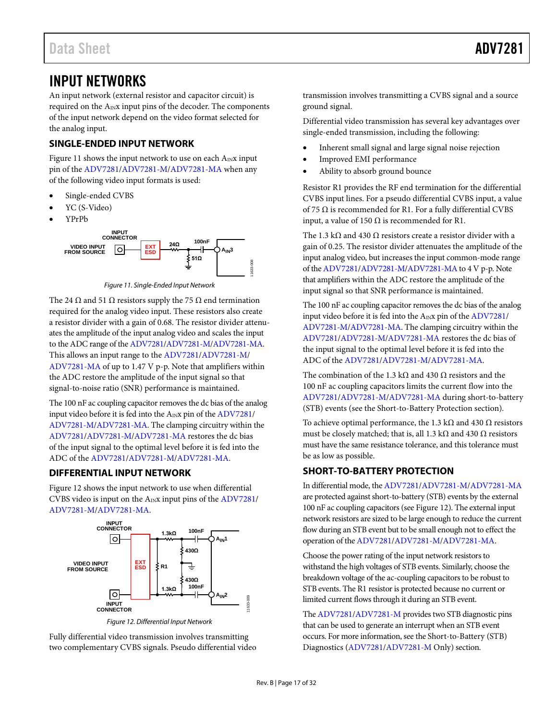### <span id="page-16-0"></span>INPUT NETWORKS

An input network (external resistor and capacitor circuit) is required on the AINx input pins of the decoder. The components of the input network depend on the video format selected for the analog input.

#### <span id="page-16-1"></span>**SINGLE-ENDED INPUT NETWORK**

[Figure 11](#page-16-4) shows the input network to use on each  $A_{IN}x$  input pin of th[e ADV7281/](http://www.analog.com/ADV7281?doc=ADV7281.pdf)[ADV7281-M/ADV7281-MA](http://www.analog.com/ADV7281?doc=ADV7281.PDF) when any of the following video input formats is used:

- Single-ended CVBS
- YC (S-Video)
- YPrPb



*Figure 11. Single-Ended Input Network*

<span id="page-16-4"></span>The 24  $\Omega$  and 51  $\Omega$  resistors supply the 75  $\Omega$  end termination required for the analog video input. These resistors also create a resistor divider with a gain of 0.68. The resistor divider attenuates the amplitude of the input analog video and scales the input to the ADC range of th[e ADV7281/](http://www.analog.com/ADV7281?doc=ADV7281.pdf)[ADV7281-M/ADV7281-MA.](http://www.analog.com/ADV7281?doc=ADV7281.PDF)  This allows an input range to th[e ADV7281](http://www.analog.com/ADV7281?doc=ADV7281.pdf)[/ADV7281-M/](http://www.analog.com/ADV7281?doc=ADV7281.PDF) [ADV7281-MA](http://www.analog.com/ADV7281?doc=ADV7281.PDF) of up to 1.47 V p-p. Note that amplifiers within the ADC restore the amplitude of the input signal so that signal-to-noise ratio (SNR) performance is maintained.

The 100 nF ac coupling capacitor removes the dc bias of the analog input video before it is fed into the AINx pin of th[e ADV7281/](http://www.analog.com/ADV7281?doc=ADV7281.pdf) [ADV7281-M/ADV7281-MA.](http://www.analog.com/ADV7281?doc=ADV7281.PDF) The clamping circuitry within the [ADV7281/](http://www.analog.com/ADV7281?doc=ADV7281.pdf)[ADV7281-M/ADV7281-MA](http://www.analog.com/ADV7281?doc=ADV7281.PDF) restores the dc bias of the input signal to the optimal level before it is fed into the ADC of the [ADV7281/](http://www.analog.com/ADV7281?doc=ADV7281.pdf)[ADV7281-M/ADV7281-MA.](http://www.analog.com/ADV7281?doc=ADV7281.PDF)

#### <span id="page-16-2"></span>**DIFFERENTIAL INPUT NETWORK**

[Figure 12](#page-16-5) shows the input network to use when differential CVBS video is input on the AINx input pins of the [ADV7281/](http://www.analog.com/ADV7281?doc=ADV7281.pdf) [ADV7281-M/ADV7281-MA.](http://www.analog.com/ADV7281?doc=ADV7281.PDF)



*Figure 12. Differential Input Network*

<span id="page-16-5"></span>Fully differential video transmission involves transmitting two complementary CVBS signals. Pseudo differential video transmission involves transmitting a CVBS signal and a source ground signal.

Differential video transmission has several key advantages over single-ended transmission, including the following:

- Inherent small signal and large signal noise rejection
- Improved EMI performance
- Ability to absorb ground bounce

Resistor R1 provides the RF end termination for the differential CVBS input lines. For a pseudo differential CVBS input, a value of 75  $\Omega$  is recommended for R1. For a fully differential CVBS input, a value of 150 Ω is recommended for R1.

The 1.3 k $\Omega$  and 430  $\Omega$  resistors create a resistor divider with a gain of 0.25. The resistor divider attenuates the amplitude of the input analog video, but increases the input common-mode range of th[e ADV7281/](http://www.analog.com/ADV7281?doc=ADV7281.pdf)[ADV7281-M/ADV7281-MA](http://www.analog.com/ADV7281?doc=ADV7281.PDF) to 4 V p-p. Note that amplifiers within the ADC restore the amplitude of the input signal so that SNR performance is maintained.

The 100 nF ac coupling capacitor removes the dc bias of the analog input video before it is fed into the AINx pin of th[e ADV7281/](http://www.analog.com/ADV7281?doc=ADV7281.pdf) [ADV7281-M/ADV7281-MA.](http://www.analog.com/ADV7281?doc=ADV7281.PDF) The clamping circuitry within the [ADV7281/](http://www.analog.com/ADV7281?doc=ADV7281.pdf)[ADV7281-M/ADV7281-MA](http://www.analog.com/ADV7281?doc=ADV7281.PDF) restores the dc bias of the input signal to the optimal level before it is fed into the ADC of the [ADV7281/](http://www.analog.com/ADV7281?doc=ADV7281.pdf)[ADV7281-M/ADV7281-MA.](http://www.analog.com/ADV7281?doc=ADV7281.PDF)

The combination of the 1.3 k $\Omega$  and 430  $\Omega$  resistors and the 100 nF ac coupling capacitors limits the current flow into the [ADV7281/](http://www.analog.com/ADV7281?doc=ADV7281.pdf)[ADV7281-M/ADV7281-MA](http://www.analog.com/ADV7281?doc=ADV7281.PDF) during short-to-battery (STB) events (see the [Short-to-Battery Protection](#page-16-3) section).

To achieve optimal performance, the 1.3 kΩ and 430 Ω resistors must be closely matched; that is, all 1.3 k $\Omega$  and 430  $\Omega$  resistors must have the same resistance tolerance, and this tolerance must be as low as possible.

#### <span id="page-16-3"></span>**SHORT-TO-BATTERY PROTECTION**

In differential mode, th[e ADV7281/](http://www.analog.com/ADV7281?doc=ADV7281.pdf)[ADV7281-M/ADV7281-MA](http://www.analog.com/ADV7281?doc=ADV7281.PDF) are protected against short-to-battery (STB) events by the external 100 nF ac coupling capacitors (se[e Figure 12\)](#page-16-5). The external input network resistors are sized to be large enough to reduce the current flow during an STB event but to be small enough not to effect the operation of the [ADV7281/](http://www.analog.com/ADV7281?doc=ADV7281.pdf)[ADV7281-M/ADV7281-MA.](http://www.analog.com/ADV7281?doc=ADV7281.PDF)

Choose the power rating of the input network resistors to withstand the high voltages of STB events. Similarly, choose the breakdown voltage of the ac-coupling capacitors to be robust to STB events. The R1 resistor is protected because no current or limited current flows through it during an STB event.

Th[e ADV7281](http://www.analog.com/ADV7281?doc=ADV7281.pdf)[/ADV7281-M](http://www.analog.com/ADV7281?doc=ADV7281.PDF) provides two STB diagnostic pins that can be used to generate an interrupt when an STB event occurs. For more information, see th[e Short-to-Battery \(STB\)](#page-18-0)  [Diagnostics \(ADV7281/ADV7281-M](#page-18-0) Only) section.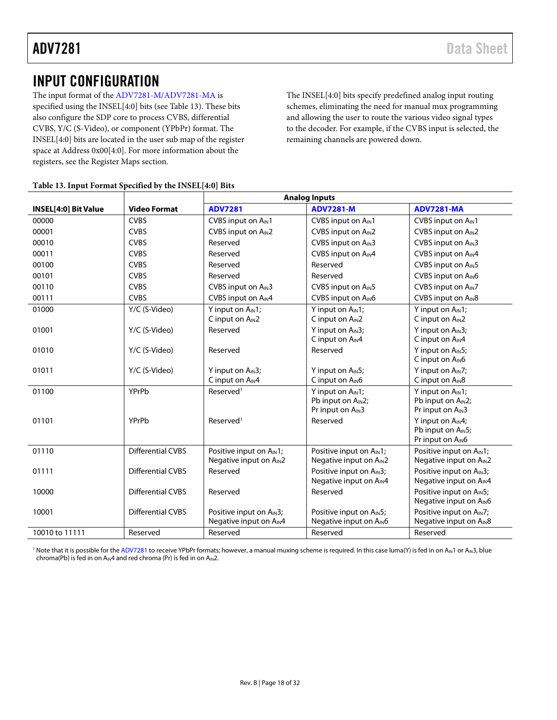## <span id="page-17-0"></span>INPUT CONFIGURATION

The input format of the [ADV7281-M/ADV7281-MA](http://www.analog.com/ADV7281?doc=ADV7281.PDF) is specified using the INSEL[4:0] bits (see [Table 13\)](#page-17-1). These bits also configure the SDP core to process CVBS, differential CVBS, Y/C (S-Video), or component (YPbPr) format. The INSEL[4:0] bits are located in the user sub map of the register space at Address 0x00[4:0]. For more information about the registers, see the [Register Maps](#page-24-0) section.

The INSEL[4:0] bits specify predefined analog input routing schemes, eliminating the need for manual mux programming and allowing the user to route the various video signal types to the decoder. For example, if the CVBS input is selected, the remaining channels are powered down.

|                      |                          | <b>Analog Inputs</b>                                                        |                                                                                     |                                                                                                  |  |
|----------------------|--------------------------|-----------------------------------------------------------------------------|-------------------------------------------------------------------------------------|--------------------------------------------------------------------------------------------------|--|
| INSEL[4:0] Bit Value | <b>Video Format</b>      | <b>ADV7281</b>                                                              | <b>ADV7281-M</b>                                                                    | <b>ADV7281-MA</b>                                                                                |  |
| 00000                | <b>CVBS</b>              | CVBS input on A <sub>IN</sub> 1                                             | CVBS input on A <sub>IN</sub> 1                                                     | CVBS input on A <sub>IN</sub> 1                                                                  |  |
| 00001                | <b>CVBS</b>              | CVBS input on A <sub>IN</sub> 2                                             | CVBS input on AIN2                                                                  | CVBS input on AIN2                                                                               |  |
| 00010                | <b>CVBS</b>              | Reserved                                                                    | CVBS input on AIN3                                                                  | CVBS input on AIN3                                                                               |  |
| 00011                | <b>CVBS</b>              | Reserved                                                                    | CVBS input on AIN4                                                                  | CVBS input on AIN4                                                                               |  |
| 00100                | <b>CVBS</b>              | Reserved                                                                    | Reserved                                                                            | CVBS input on AIN5                                                                               |  |
| 00101                | <b>CVBS</b>              | Reserved                                                                    | Reserved                                                                            | CVBS input on AIN6                                                                               |  |
| 00110                | <b>CVBS</b>              | CVBS input on AIN3                                                          | CVBS input on A <sub>IN</sub> 5                                                     | CVBS input on AIN7                                                                               |  |
| 00111                | <b>CVBS</b>              | CVBS input on A <sub>IN</sub> 4                                             | CVBS input on AIN6                                                                  | CVBS input on AIN8                                                                               |  |
| 01000                | Y/C (S-Video)            | Y input on A <sub>IN</sub> 1;<br>C input on A <sub>IN</sub> 2               | Y input on A <sub>IN</sub> 1;<br>C input on A <sub>IN</sub> 2                       | Y input on $A_{IN}1$ ;<br>C input on A <sub>IN</sub> 2                                           |  |
| 01001                | Y/C (S-Video)            | Reserved                                                                    | Y input on A <sub>IN</sub> 3;<br>C input on A <sub>IN</sub> 4                       | Y input on A <sub>IN</sub> 3;<br>C input on A <sub>IN</sub> 4                                    |  |
| 01010                | Y/C (S-Video)            | Reserved                                                                    | Reserved                                                                            | Y input on AIN5;<br>C input on AIN6                                                              |  |
| 01011                | Y/C (S-Video)            | Y input on A <sub>IN</sub> 3;<br>C input on A <sub>IN</sub> 4               | Y input on A <sub>IN</sub> 5;<br>C input on AIN6                                    | Y input on AIN7;<br>C input on AIN8                                                              |  |
| 01100                | YPrPb                    | Reserved <sup>1</sup>                                                       | Y input on A <sub>IN</sub> 1;<br>Pb input on AIN2;<br>Pr input on A <sub>IN</sub> 3 | Y input on A <sub>IN</sub> 1;<br>Pb input on A <sub>IN</sub> 2;<br>Pr input on A <sub>IN</sub> 3 |  |
| 01101                | YPrPb                    | Reserved <sup>1</sup>                                                       | Reserved                                                                            | Y input on A <sub>IN</sub> 4;<br>Pb input on A <sub>IN</sub> 5;<br>Pr input on A <sub>IN</sub> 6 |  |
| 01110                | <b>Differential CVBS</b> | Positive input on A <sub>IN</sub> 1;<br>Negative input on A <sub>IN</sub> 2 | Positive input on A <sub>IN</sub> 1;<br>Negative input on A <sub>IN</sub> 2         | Positive input on A <sub>IN</sub> 1;<br>Negative input on A <sub>IN</sub> 2                      |  |
| 01111                | <b>Differential CVBS</b> | Reserved                                                                    | Positive input on A <sub>IN</sub> 3;<br>Negative input on A <sub>IN</sub> 4         | Positive input on A <sub>IN</sub> 3;<br>Negative input on A <sub>IN</sub> 4                      |  |
| 10000                | <b>Differential CVBS</b> | Reserved                                                                    | Reserved                                                                            | Positive input on A <sub>IN</sub> 5;<br>Negative input on A <sub>IN</sub> 6                      |  |
| 10001                | <b>Differential CVBS</b> | Positive input on A <sub>IN</sub> 3;<br>Negative input on AIN4              | Positive input on A <sub>IN</sub> 5;<br>Negative input on AIN6                      | Positive input on AIN7;<br>Negative input on AIN8                                                |  |
| 10010 to 11111       | Reserved                 | Reserved                                                                    | Reserved                                                                            | Reserved                                                                                         |  |

#### <span id="page-17-1"></span>**Table 13. Input Format Specified by the INSEL[4:0] Bits**

<span id="page-17-2"></span><sup>1</sup> Note that it is possible for th[e ADV7281](http://www.analog.com/ADV7281?doc=ADV7281.pdf) to receive YPbPr formats; however, a manual muxing scheme is required. In this case luma(Y) is fed in on A<sub>IN</sub>1 or A<sub>IN</sub>3, blue chroma(Pb) is fed in on  $A_{IN}4$  and red chroma (Pr) is fed in on  $A_{IN}2$ .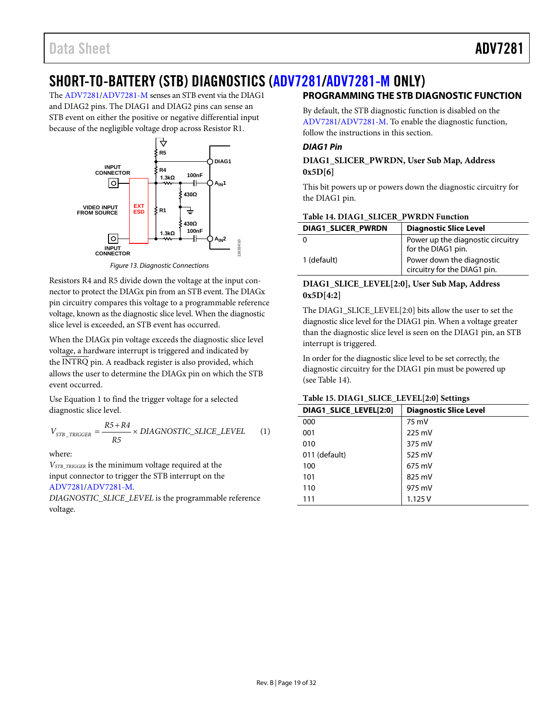## <span id="page-18-0"></span>SHORT-TO-BATTERY (STB) DIAGNOSTICS [\(ADV7281](http://www.analog.com/ADV7281?doc=ADV7281.pdf)[/ADV7281-M](http://www.analog.com/ADV7281?doc=ADV7281.PDF) ONLY)

The [ADV7281](http://www.analog.com/ADV7281?doc=ADV7281.pdf)[/ADV7281-M](http://www.analog.com/ADV7281?doc=ADV7281.PDF) senses an STB event via the DIAG1 and DIAG2 pins. The DIAG1 and DIAG2 pins can sense an STB event on either the positive or negative differential input because of the negligible voltage drop across Resistor R1.



*Figure 13. Diagnostic Connections*

Resistors R4 and R5 divide down the voltage at the input connector to protect the DIAGx pin from an STB event. The DIAGx pin circuitry compares this voltage to a programmable reference voltage, known as the diagnostic slice level. When the diagnostic slice level is exceeded, an STB event has occurred.

When the DIAGx pin voltage exceeds the diagnostic slice level voltage, a hardware interrupt is triggered and indicated by the INTRQ pin. A readback register is also provided, which allows the user to determine the DIAGx pin on which the STB event occurred.

Use Equation 1 to find the trigger voltage for a selected diagnostic slice level.

$$
V_{STB\_TRIGGER} = \frac{R5 + R4}{R5} \times DIAGNOSTIC\_SLICE\_LEVEL
$$
 (1)

where:

*VSTB\_TRIGGER* is the minimum voltage required at the input connector to trigger the STB interrupt on the [ADV7281/](http://www.analog.com/ADV7281?doc=ADV7281.pdf)[ADV7281-M.](http://www.analog.com/ADV7281?doc=ADV7281.PDF)

*DIAGNOSTIC\_SLICE\_LEVEL* is the programmable reference voltage.

### <span id="page-18-1"></span>**PROGRAMMING THE STB DIAGNOSTIC FUNCTION**

By default, the STB diagnostic function is disabled on the [ADV7281/](http://www.analog.com/ADV7281?doc=ADV7281.pdf)[ADV7281-M.](http://www.analog.com/ADV7281?doc=ADV7281.PDF) To enable the diagnostic function, follow the instructions in this section.

#### *DIAG1 Pin*

#### **DIAG1\_SLICER\_PWRDN, User Sub Map, Address 0x5D[6]**

This bit powers up or powers down the diagnostic circuitry for the DIAG1 pin.

<span id="page-18-2"></span>

| Table 14. DIAG1_SLICER_PWRDN Function |                        |
|---------------------------------------|------------------------|
| DIAC1 CLICED DIMDONI                  | Diagnostis Clisa Loval |

| DIAG1_SLICER_PWRDN | <b>Diagnostic Slice Level</b>                             |
|--------------------|-----------------------------------------------------------|
|                    | Power up the diagnostic circuitry<br>for the DIAG1 pin.   |
| 1 (default)        | Power down the diagnostic<br>circuitry for the DIAG1 pin. |

#### **DIAG1\_SLICE\_LEVEL[2:0], User Sub Map, Address 0x5D[4:2]**

The DIAG1\_SLICE\_LEVEL[2:0] bits allow the user to set the diagnostic slice level for the DIAG1 pin. When a voltage greater than the diagnostic slice level is seen on the DIAG1 pin, an STB interrupt is triggered.

In order for the diagnostic slice level to be set correctly, the diagnostic circuitry for the DIAG1 pin must be powered up (se[e Table 14\)](#page-18-2).

#### **Table 15. DIAG1\_SLICE\_LEVEL[2:0] Settings**

| DIAG1 SLICE LEVEL[2:0] | <b>Diagnostic Slice Level</b> |
|------------------------|-------------------------------|
| 000                    | 75 mV                         |
| 001                    | 225 mV                        |
| 010                    | 375 mV                        |
| 011 (default)          | 525 mV                        |
| 100                    | 675 mV                        |
| 101                    | 825 mV                        |
| 110                    | 975 mV                        |
| 111                    | 1.125V                        |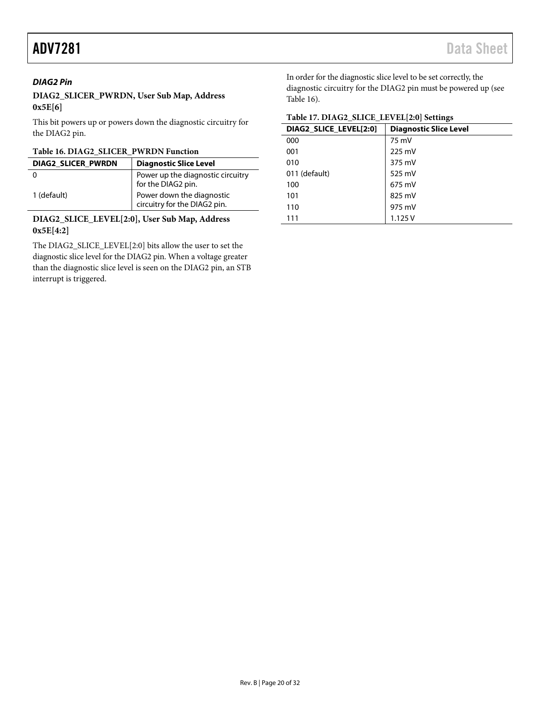#### *DIAG2 Pin*

#### **DIAG2\_SLICER\_PWRDN, User Sub Map, Address 0x5E[6]**

This bit powers up or powers down the diagnostic circuitry for the DIAG2 pin.

#### <span id="page-19-0"></span>**Table 16. DIAG2\_SLICER\_PWRDN Function**

| <b>DIAG2 SLICER PWRDN</b> | <b>Diagnostic Slice Level</b>                             |
|---------------------------|-----------------------------------------------------------|
|                           | Power up the diagnostic circuitry<br>for the DIAG2 pin.   |
| 1 (default)               | Power down the diagnostic<br>circuitry for the DIAG2 pin. |

#### **DIAG2\_SLICE\_LEVEL[2:0], User Sub Map, Address 0x5E[4:2]**

The DIAG2\_SLICE\_LEVEL[2:0] bits allow the user to set the diagnostic slice level for the DIAG2 pin. When a voltage greater than the diagnostic slice level is seen on the DIAG2 pin, an STB interrupt is triggered.

In order for the diagnostic slice level to be set correctly, the diagnostic circuitry for the DIAG2 pin must be powered up (see [Table 16\)](#page-19-0).

#### **Table 17. DIAG2\_SLICE\_LEVEL[2:0] Settings**

| DIAG2 SLICE LEVEL[2:0] | <b>Diagnostic Slice Level</b> |
|------------------------|-------------------------------|
| 000                    | 75 mV                         |
| 001                    | $225 \text{ mV}$              |
| 010                    | 375 mV                        |
| 011 (default)          | 525 mV                        |
| 100                    | 675 mV                        |
| 101                    | 825 mV                        |
| 110                    | 975 mV                        |
| 111                    | 1.125V                        |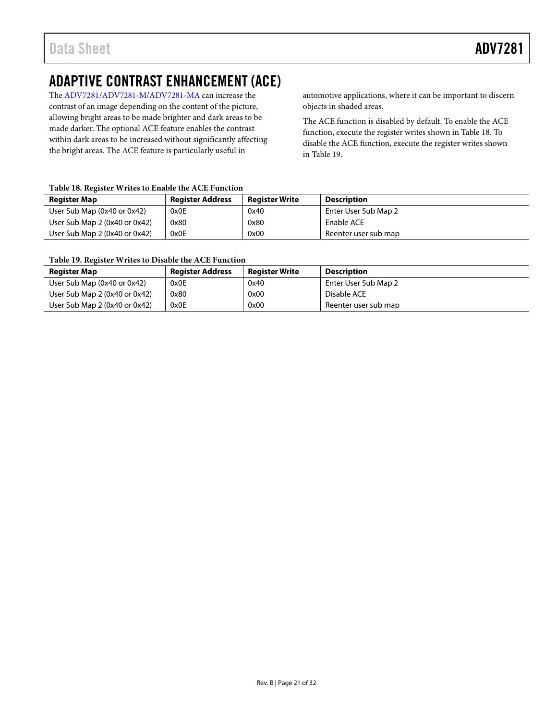## <span id="page-20-0"></span>ADAPTIVE CONTRAST ENHANCEMENT (ACE)

Th[e ADV7281](http://www.analog.com/ADV7281?doc=ADV7281.pdf)[/ADV7281-M/ADV7281-MA](http://www.analog.com/ADV7281?doc=ADV7281.PDF) can increase the contrast of an image depending on the content of the picture, allowing bright areas to be made brighter and dark areas to be made darker. The optional ACE feature enables the contrast within dark areas to be increased without significantly affecting the bright areas. The ACE feature is particularly useful in

automotive applications, where it can be important to discern objects in shaded areas.

The ACE function is disabled by default. To enable the ACE function, execute the register writes shown in [Table 18.](#page-20-1) To disable the ACE function, execute the register writes shown in [Table 19.](#page-20-2)

#### <span id="page-20-1"></span>**Table 18. Register Writes to Enable the ACE Function**

| <b>Register Map</b>           | <b>Register Address</b> | <b>Register Write</b> | <b>Description</b>   |
|-------------------------------|-------------------------|-----------------------|----------------------|
| User Sub Map (0x40 or 0x42)   | 0x0E                    | 0x40                  | Enter User Sub Map 2 |
| User Sub Map 2 (0x40 or 0x42) | 0x80                    | 0x80                  | Enable ACE           |
| User Sub Map 2 (0x40 or 0x42) | 0x0E                    | 0x00                  | Reenter user sub map |

#### <span id="page-20-2"></span>**Table 19. Register Writes to Disable the ACE Function**

| Register Map                  | <b>Register Address</b> | <b>Register Write</b> | <b>Description</b>   |
|-------------------------------|-------------------------|-----------------------|----------------------|
| User Sub Map (0x40 or 0x42)   | 0x0E                    | 0x40                  | Enter User Sub Map 2 |
| User Sub Map 2 (0x40 or 0x42) | 0x80                    | 0x00                  | Disable ACE          |
| User Sub Map 2 (0x40 or 0x42) | 0x0E                    | 0x00                  | Reenter user sub map |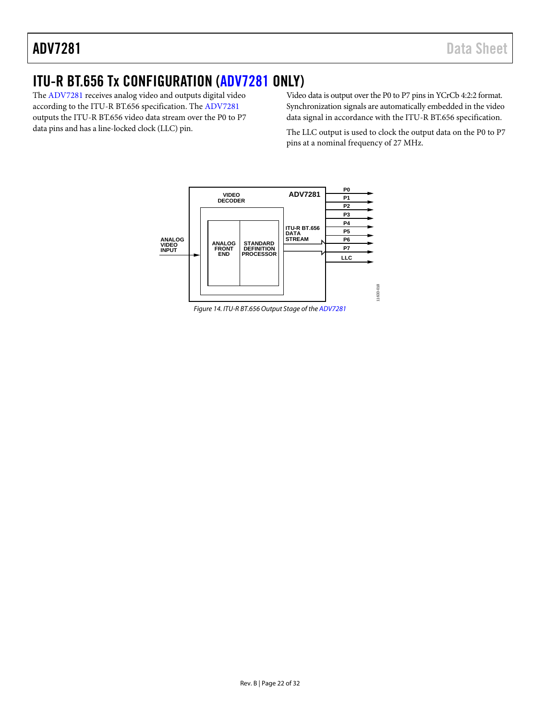## <span id="page-21-0"></span>ITU-R BT.656 Tx CONFIGURATION [\(ADV7281](http://www.analog.com/ADV7281?doc=ADV7281.pdf) ONLY)

The [ADV7281 r](http://www.analog.com/ADV7281?doc=ADV7281.pdf)eceives analog video and outputs digital video according to the ITU-R BT.656 specification. The [ADV7281](http://www.analog.com/ADV7281?doc=ADV7281.pdf)  outputs the ITU-R BT.656 video data stream over the P0 to P7 data pins and has a line-locked clock (LLC) pin.

Video data is output over the P0 to P7 pins in YCrCb 4:2:2 format. Synchronization signals are automatically embedded in the video data signal in accordance with the ITU-R BT.656 specification.

The LLC output is used to clock the output data on the P0 to P7 pins at a nominal frequency of 27 MHz.



Figure 14. ITU-R BT.656 Output Stage of th[e ADV7281](http://www.analog.com/ADV7280?doc=ADV7280.pdf)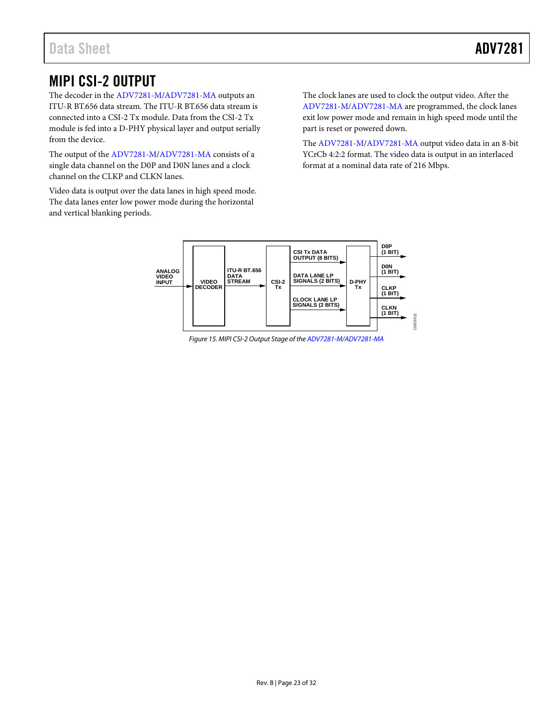## <span id="page-22-0"></span>MIPI CSI-2 OUTPUT

The decoder in the [ADV7281-M/ADV7281-MA](http://www.analog.com/ADV7281?doc=ADV7281.PDF) outputs an ITU-R BT.656 data stream. The ITU-R BT.656 data stream is connected into a CSI-2 Tx module. Data from the CSI-2 Tx module is fed into a D-PHY physical layer and output serially from the device.

The output of the [ADV7281-M/ADV7281-MA](http://www.analog.com/ADV7281?doc=ADV7281.PDF) consists of a single data channel on the D0P and D0N lanes and a clock channel on the CLKP and CLKN lanes.

Video data is output over the data lanes in high speed mode. The data lanes enter low power mode during the horizontal and vertical blanking periods.

The clock lanes are used to clock the output video. After the [ADV7281-M/ADV7281-MA](http://www.analog.com/ADV7281?doc=ADV7281.PDF) are programmed, the clock lanes exit low power mode and remain in high speed mode until the part is reset or powered down.

The [ADV7281-M/ADV7281-MA](http://www.analog.com/ADV7281?doc=ADV7281.PDF) output video data in an 8-bit YCrCb 4:2:2 format. The video data is output in an interlaced format at a nominal data rate of 216 Mbps.



*Figure 15. MIPI CSI-2 Output Stage of the [ADV7281-M/ADV7281-MA](http://www.analog.com/ADV7281?doc=ADV7281.PDF)*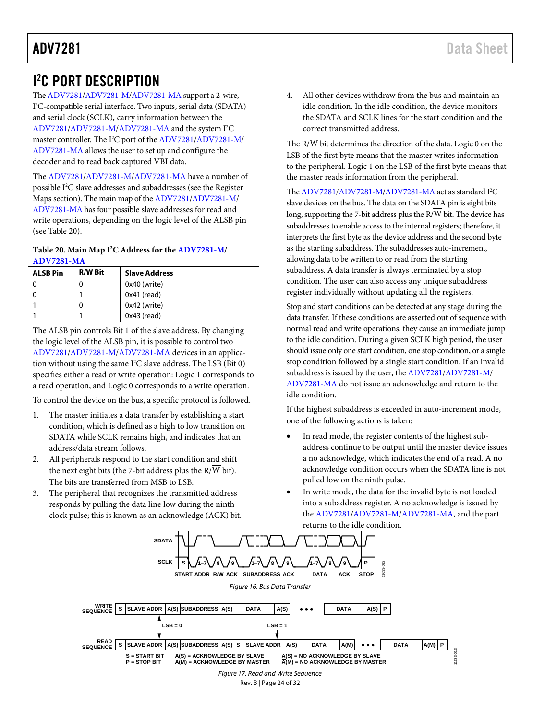### <span id="page-23-0"></span>I 2 C PORT DESCRIPTION

Th[e ADV7281](http://www.analog.com/ADV7281?doc=ADV7281.pdf)[/ADV7281-M/ADV7281-MA](http://www.analog.com/ADV7281?doc=ADV7281.PDF) support a 2-wire, I 2 C-compatible serial interface. Two inputs, serial data (SDATA) and serial clock (SCLK), carry information between the [ADV7281/](http://www.analog.com/ADV7281?doc=ADV7281.pdf)[ADV7281-M/ADV7281-MA](http://www.analog.com/ADV7281?doc=ADV7281.PDF) and the system I<sup>2</sup>C master controller. The I 2 C port of the [ADV7281](http://www.analog.com/ADV7281?doc=ADV7281.pdf)[/ADV7281-M/](http://www.analog.com/ADV7281?doc=ADV7281.PDF) [ADV7281-MA](http://www.analog.com/ADV7281?doc=ADV7281.PDF) allows the user to set up and configure the decoder and to read back captured VBI data.

The [ADV7281](http://www.analog.com/ADV7281?doc=ADV7281.pdf)[/ADV7281-M/ADV7281-MA](http://www.analog.com/ADV7281?doc=ADV7281.PDF) have a number of possible I 2 C slave addresses and subaddresses (see the [Register](#page-24-0)  [Maps](#page-24-0) section). The main map of th[e ADV7281](http://www.analog.com/ADV7281?doc=ADV7281.pdf)[/ADV7281-M/](http://www.analog.com/ADV7281?doc=ADV7281.PDF) [ADV7281-MA](http://www.analog.com/ADV7281?doc=ADV7281.PDF) has four possible slave addresses for read and write operations, depending on the logic level of the ALSB pin (see [Table 20\)](#page-23-1).

#### <span id="page-23-1"></span>**Table 20. Main Map I2 C Address for th[e ADV7281-M/](http://www.analog.com/ADV7281?doc=ADV7281.PDF) [ADV7281-MA](http://www.analog.com/ADV7281?doc=ADV7281.PDF)**

| <b>ALSB Pin</b> | <b>R/W Bit</b> | <b>Slave Address</b> |
|-----------------|----------------|----------------------|
|                 | 0              | 0x40 (write)         |
|                 |                | $0x41$ (read)        |
|                 | 0              | 0x42 (write)         |
|                 |                | $0x43$ (read)        |

The ALSB pin controls Bit 1 of the slave address. By changing the logic level of the ALSB pin, it is possible to control two [ADV7281/](http://www.analog.com/ADV7281?doc=ADV7281.pdf)[ADV7281-M/ADV7281-MA](http://www.analog.com/ADV7281?doc=ADV7281.PDF) devices in an application without using the same I<sup>2</sup>C slave address. The LSB (Bit 0) specifies either a read or write operation: Logic 1 corresponds to a read operation, and Logic 0 corresponds to a write operation.

To control the device on the bus, a specific protocol is followed.

- 1. The master initiates a data transfer by establishing a start condition, which is defined as a high to low transition on SDATA while SCLK remains high, and indicates that an address/data stream follows.
- 2. All peripherals respond to the start condition and shift the next eight bits (the 7-bit address plus the R/W bit). The bits are transferred from MSB to LSB.
- 3. The peripheral that recognizes the transmitted address responds by pulling the data line low during the ninth clock pulse; this is known as an acknowledge (ACK) bit.

4. All other devices withdraw from the bus and maintain an idle condition. In the idle condition, the device monitors the SDATA and SCLK lines for the start condition and the correct transmitted address.

The R/ $\overline{\text{W}}$  bit determines the direction of the data. Logic 0 on the LSB of the first byte means that the master writes information to the peripheral. Logic 1 on the LSB of the first byte means that the master reads information from the peripheral.

Th[e ADV7281](http://www.analog.com/ADV7281?doc=ADV7281.pdf)[/ADV7281-M/ADV7281-MA](http://www.analog.com/ADV7281?doc=ADV7281.PDF) act as standard I<sup>2</sup>C slave devices on the bus. The data on the SDATA pin is eight bits long, supporting the 7-bit address plus the R/W bit. The device has subaddresses to enable access to the internal registers; therefore, it interprets the first byte as the device address and the second byte as the starting subaddress. The subaddresses auto-increment, allowing data to be written to or read from the starting subaddress. A data transfer is always terminated by a stop condition. The user can also access any unique subaddress register individually without updating all the registers.

Stop and start conditions can be detected at any stage during the data transfer. If these conditions are asserted out of sequence with normal read and write operations, they cause an immediate jump to the idle condition. During a given SCLK high period, the user should issue only one start condition, one stop condition, or a single stop condition followed by a single start condition. If an invalid subaddress is issued by the user, th[e ADV7281](http://www.analog.com/ADV7281?doc=ADV7281.pdf)[/ADV7281-M/](http://www.analog.com/ADV7281?doc=ADV7281.PDF) [ADV7281-MA](http://www.analog.com/ADV7281?doc=ADV7281.PDF) do not issue an acknowledge and return to the idle condition.

If the highest subaddress is exceeded in auto-increment mode, one of the following actions is taken:

- In read mode, the register contents of the highest subaddress continue to be output until the master device issues a no acknowledge, which indicates the end of a read. A no acknowledge condition occurs when the SDATA line is not pulled low on the ninth pulse.
- In write mode, the data for the invalid byte is not loaded into a subaddress register. A no acknowledge is issued by the [ADV7281](http://www.analog.com/ADV7281?doc=ADV7281.pdf)[/ADV7281-M/ADV7281-MA,](http://www.analog.com/ADV7281?doc=ADV7281.PDF) and the part returns to the idle condition.

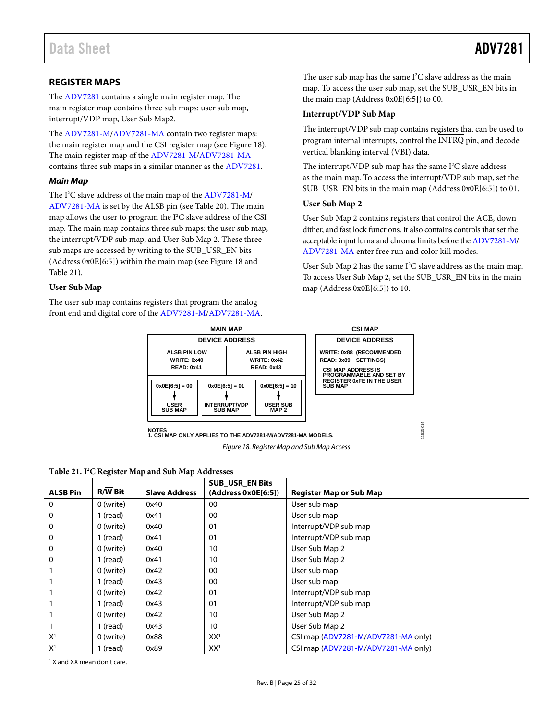#### <span id="page-24-0"></span>**REGISTER MAPS**

The [ADV7281](http://www.analog.com/ADV7281?doc=ADV7281.pdf) contains a single main register map. The main register map contains three sub maps: user sub map, interrupt/VDP map, User Sub Map2.

The [ADV7281-M/ADV7281-MA](http://www.analog.com/ADV7281?doc=ADV7281.PDF) contain two register maps: the main register map and the CSI register map (se[e Figure 18\)](#page-24-1). The main register map of the [ADV7281-M/ADV7281-MA](http://www.analog.com/ADV7281?doc=ADV7281.PDF) contains three sub maps in a similar manner as the [ADV7281.](http://www.analog.com/ADV7281?doc=ADV7281.pdf)

#### *Main Map*

The I<sup>2</sup>C slave address of the main map of th[e ADV7281-M/](http://www.analog.com/ADV7281?doc=ADV7281.PDF) [ADV7281-MA](http://www.analog.com/ADV7281?doc=ADV7281.PDF) is set by the ALSB pin (se[e Table 20\)](#page-23-1). The main map allows the user to program the  $I<sup>2</sup>C$  slave address of the CSI map. The main map contains three sub maps: the user sub map, the interrupt/VDP sub map, and User Sub Map 2. These three sub maps are accessed by writing to the SUB\_USR\_EN bits (Address 0x0E[6:5]) within the main map (see [Figure 18](#page-24-1) and [Table 21\)](#page-24-2).

#### **User Sub Map**

The user sub map contains registers that program the analog front end and digital core of the [ADV7281-M/ADV7281-MA.](http://www.analog.com/ADV7281?doc=ADV7281.PDF)

The user sub map has the same  $I^2C$  slave address as the main map. To access the user sub map, set the SUB\_USR\_EN bits in the main map (Address 0x0E[6:5]) to 00.

#### **Interrupt/VDP Sub Map**

The interrupt/VDP sub map contains registers that can be used to program internal interrupts, control the INTRQ pin, and decode vertical blanking interval (VBI) data.

The interrupt/VDP sub map has the same  $I^2C$  slave address as the main map. To access the interrupt/VDP sub map, set the SUB\_USR\_EN bits in the main map (Address 0x0E[6:5]) to 01.

#### **User Sub Map 2**

User Sub Map 2 contains registers that control the ACE, down dither, and fast lock functions. It also contains controls that set the acceptable input luma and chroma limits before th[e ADV7281-M/](http://www.analog.com/ADV7281?doc=ADV7281.PDF) [ADV7281-MA](http://www.analog.com/ADV7281?doc=ADV7281.PDF) enter free run and color kill modes.

User Sub Map 2 has the same  $I^2C$  slave address as the main map. To access User Sub Map 2, set the SUB\_USR\_EN bits in the main map (Address 0x0E[6:5]) to 10.

11633-014

11633-014

| <b>MAIN MAP</b>                                                |                                                            |                                                                 | <b>CSI MAP</b>                                                                                                  |
|----------------------------------------------------------------|------------------------------------------------------------|-----------------------------------------------------------------|-----------------------------------------------------------------------------------------------------------------|
| <b>DEVICE ADDRESS</b>                                          |                                                            |                                                                 | <b>DEVICE ADDRESS</b>                                                                                           |
| <b>ALSB PIN LOW</b><br><b>WRITE: 0x40</b><br><b>READ: 0x41</b> |                                                            | <b>ALSB PIN HIGH</b><br><b>WRITE: 0x42</b><br><b>READ: 0x43</b> | WRITE: 0x88 (RECOMMENDED<br>READ: 0x89 SETTINGS)<br><b>CSI MAP ADDRESS IS</b><br><b>PROGRAMMABLE AND SET BY</b> |
| $0x0E[6:5] = 00$<br><b>USER</b><br><b>SUB MAP</b>              | $0x0E[6:5] = 01$<br><b>INTERRUPT/VDP</b><br><b>SUB MAP</b> | $0x0E[6:5] = 10$<br><b>USER SUB</b><br>MAP <sub>2</sub>         | <b>REGISTER 0xFE IN THE USER</b><br><b>SUB MAP</b>                                                              |

**NOTES 1. CSI MAP ONLY APPLIES TO THE ADV7281-M/ADV7281-MA MODELS.**

*Figure 18. Register Map and Sub Map Access*

#### <span id="page-24-2"></span><span id="page-24-1"></span>**Table 21. I2 C Register Map and Sub Map Addresses**

| <b>ALSB Pin</b> | <b>R/W Bit</b> | <b>Slave Address</b> | <b>SUB USR EN Bits</b><br>(Address 0x0E[6:5]) | <b>Register Map or Sub Map</b>      |
|-----------------|----------------|----------------------|-----------------------------------------------|-------------------------------------|
| $\mathbf{0}$    | 0 (write)      | 0x40                 | 00                                            | User sub map                        |
| $\mathbf 0$     | 1 (read)       | 0x41                 | 00                                            | User sub map                        |
| $\mathbf{0}$    | 0 (write)      | 0x40                 | 01                                            | Interrupt/VDP sub map               |
| 0               | 1 (read)       | 0x41                 | 01                                            | Interrupt/VDP sub map               |
| 0               | 0 (write)      | 0x40                 | 10                                            | User Sub Map 2                      |
| $\mathbf{0}$    | 1 (read)       | 0x41                 | 10                                            | User Sub Map 2                      |
|                 | 0 (write)      | 0x42                 | 00                                            | User sub map                        |
|                 | 1 (read)       | 0x43                 | 00                                            | User sub map                        |
|                 | 0 (write)      | 0x42                 | 01                                            | Interrupt/VDP sub map               |
|                 | 1 (read)       | 0x43                 | 01                                            | Interrupt/VDP sub map               |
|                 | 0 (write)      | 0x42                 | 10                                            | User Sub Map 2                      |
|                 | 1 (read)       | 0x43                 | 10                                            | User Sub Map 2                      |
| X <sup>1</sup>  | 0 (write)      | 0x88                 | XX <sup>1</sup>                               | CSI map (ADV7281-M/ADV7281-MA only) |
| X <sup>1</sup>  | 1 (read)       | 0x89                 | XX <sup>1</sup>                               | CSI map (ADV7281-M/ADV7281-MA only) |

<sup>1</sup> X and XX mean don't care.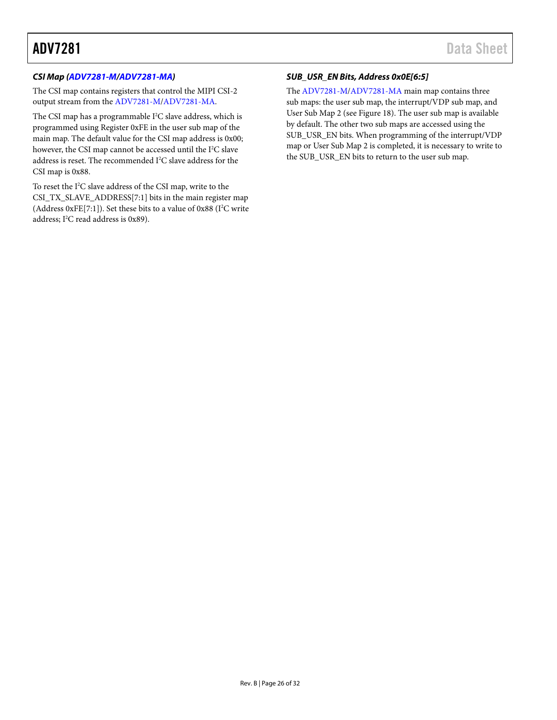#### **CSI Map [\(ADV7281-M/ADV7281-MA\)](http://www.analog.com/ADV7281?doc=ADV7281.PDF)**

The CSI map contains registers that control the MIPI CSI-2 output stream from the [ADV7281-M/ADV7281-MA.](http://www.analog.com/ADV7281?doc=ADV7281.PDF)

The CSI map has a programmable I<sup>2</sup>C slave address, which is programmed using Register 0xFE in the user sub map of the main map. The default value for the CSI map address is 0x00; however, the CSI map cannot be accessed until the I<sup>2</sup>C slave address is reset. The recommended  $I^2C$  slave address for the CSI map is 0x88.

To reset the I<sup>2</sup>C slave address of the CSI map, write to the CSI\_TX\_SLAVE\_ADDRESS[7:1] bits in the main register map (Address 0xFE[7:1]). Set these bits to a value of 0x88 ( $I<sup>2</sup>C$  write address; I<sup>2</sup>C read address is 0x89).

#### **SUB\_USR\_EN Bits, Address 0x0E[6:5]**

Th[e ADV7281-M/ADV7281-MA m](http://www.analog.com/ADV7281?doc=ADV7281.PDF)ain map contains three sub maps: the user sub map, the interrupt/VDP sub map, and User Sub Map 2 (se[e Figure 18\)](#page-24-1). The user sub map is available by default. The other two sub maps are accessed using the SUB\_USR\_EN bits. When programming of the interrupt/VDP map or User Sub Map 2 is completed, it is necessary to write to the SUB\_USR\_EN bits to return to the user sub map.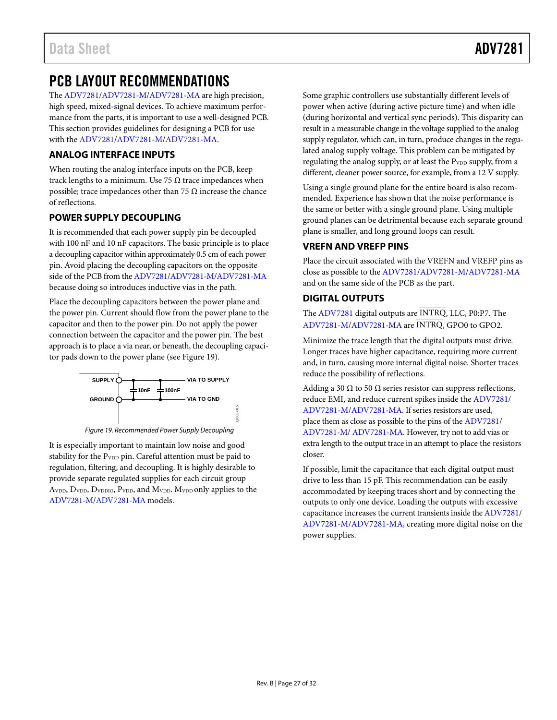## <span id="page-26-0"></span>PCB LAYOUT RECOMMENDATIONS

Th[e ADV7281](http://www.analog.com/ADV7281?doc=ADV7281.pdf)[/ADV7281-M/ADV7281-MA a](http://www.analog.com/ADV7281?doc=ADV7281.PDF)re high precision, high speed, mixed-signal devices. To achieve maximum performance from the parts, it is important to use a well-designed PCB. This section provides guidelines for designing a PCB for use with th[e ADV7281](http://www.analog.com/ADV7281?doc=ADV7281.pdf)[/ADV7281-M/ADV7281-MA.](http://www.analog.com/ADV7281?doc=ADV7281.PDF) 

#### <span id="page-26-1"></span>**ANALOG INTERFACE INPUTS**

When routing the analog interface inputs on the PCB, keep track lengths to a minimum. Use 75  $\Omega$  trace impedances when possible; trace impedances other than 75  $\Omega$  increase the chance of reflections.

#### <span id="page-26-2"></span>**POWER SUPPLY DECOUPLING**

It is recommended that each power supply pin be decoupled with 100 nF and 10 nF capacitors. The basic principle is to place a decoupling capacitor within approximately 0.5 cm of each power pin. Avoid placing the decoupling capacitors on the opposite side of the PCB from th[e ADV7281](http://www.analog.com/ADV7281?doc=ADV7281.pdf)[/ADV7281-M/ADV7281-MA](http://www.analog.com/ADV7281?doc=ADV7281.PDF) because doing so introduces inductive vias in the path.

Place the decoupling capacitors between the power plane and the power pin. Current should flow from the power plane to the capacitor and then to the power pin. Do not apply the power connection between the capacitor and the power pin. The best approach is to place a via near, or beneath, the decoupling capacitor pads down to the power plane (se[e Figure 19\)](#page-26-5).



Figure 19. Recommended Power Supply Decoupling

<span id="page-26-5"></span>It is especially important to maintain low noise and good stability for the P<sub>VDD</sub> pin. Careful attention must be paid to regulation, filtering, and decoupling. It is highly desirable to provide separate regulated supplies for each circuit group AVDD, DVDD, DVDDIO, PVDD, and MVDD. MVDD only applies to the [ADV7281-M/ADV7281-MA](http://www.analog.com/ADV7281?doc=ADV7281.PDF) models.

Some graphic controllers use substantially different levels of power when active (during active picture time) and when idle (during horizontal and vertical sync periods). This disparity can result in a measurable change in the voltage supplied to the analog supply regulator, which can, in turn, produce changes in the regulated analog supply voltage. This problem can be mitigated by regulating the analog supply, or at least the P<sub>VDD</sub> supply, from a different, cleaner power source, for example, from a 12 V supply.

Using a single ground plane for the entire board is also recommended. Experience has shown that the noise performance is the same or better with a single ground plane. Using multiple ground planes can be detrimental because each separate ground plane is smaller, and long ground loops can result.

#### <span id="page-26-3"></span>**VREFN AND VREFP PINS**

Place the circuit associated with the VREFN and VREFP pins as close as possible to th[e ADV7281/](http://www.analog.com/ADV7281?doc=ADV7281.pdf)[ADV7281-M/ADV7281-MA](http://www.analog.com/ADV7281?doc=ADV7281.PDF) and on the same side of the PCB as the part.

#### <span id="page-26-4"></span>**DIGITAL OUTPUTS**

The [ADV7281 d](http://www.analog.com/ADV7281?doc=ADV7281.pdf)igital outputs are INTRQ, LLC, P0:P7. The [ADV7281-M/ADV7281-MA](http://www.analog.com/ADV7281?doc=ADV7281.PDF) are INTRQ, GPO0 to GPO2.

Minimize the trace length that the digital outputs must drive. Longer traces have higher capacitance, requiring more current and, in turn, causing more internal digital noise. Shorter traces reduce the possibility of reflections.

Adding a 30  $\Omega$  to 50  $\Omega$  series resistor can suppress reflections, reduce EMI, and reduce current spikes inside th[e ADV7281/](http://www.analog.com/ADV7281?doc=ADV7281.pdf) [ADV7281-M/ADV7281-MA.](http://www.analog.com/ADV7281?doc=ADV7281.PDF) If series resistors are used, place them as close as possible to the pins of the [ADV7281/](http://www.analog.com/ADV7281?doc=ADV7281.pdf) [ADV7281-M/ ADV7281-MA.](http://www.analog.com/ADV7281?doc=ADV7281.PDF) However, try not to add vias or extra length to the output trace in an attempt to place the resistors closer.

If possible, limit the capacitance that each digital output must drive to less than 15 pF. This recommendation can be easily accommodated by keeping traces short and by connecting the outputs to only one device. Loading the outputs with excessive capacitance increases the current transients inside th[e ADV7281/](http://www.analog.com/ADV7281?doc=ADV7281.pdf) [ADV7281-M/ADV7281-MA,](http://www.analog.com/ADV7281?doc=ADV7281.PDF) creating more digital noise on the power supplies.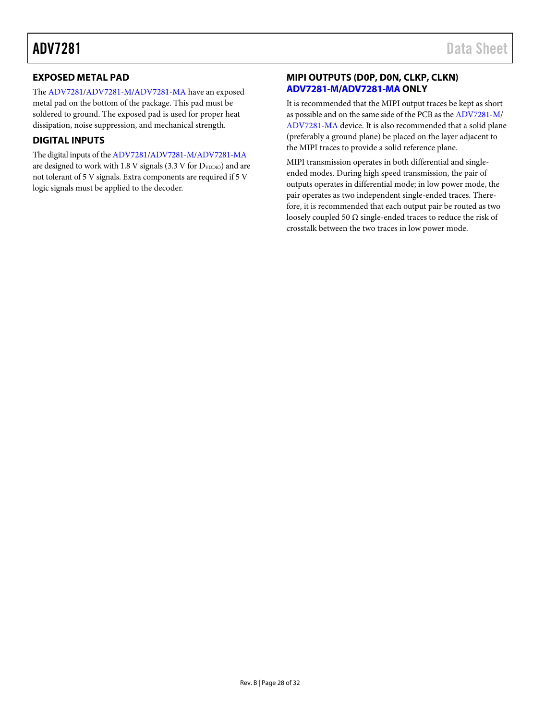#### <span id="page-27-0"></span>**EXPOSED METAL PAD**

The [ADV7281](http://www.analog.com/ADV7281?doc=ADV7281.pdf)[/ADV7281-M/ADV7281-MA](http://www.analog.com/ADV7281?doc=ADV7281.PDF) have an exposed metal pad on the bottom of the package. This pad must be soldered to ground. The exposed pad is used for proper heat dissipation, noise suppression, and mechanical strength.

### <span id="page-27-1"></span>**DIGITAL INPUTS**

The digital inputs of the [ADV7281](http://www.analog.com/ADV7281?doc=ADV7281.pdf)[/ADV7281-M/ADV7281-MA](http://www.analog.com/ADV7281?doc=ADV7281.PDF) are designed to work with 1.8 V signals (3.3 V for  $D_{\text{VDDO}}$ ) and are not tolerant of 5 V signals. Extra components are required if 5 V logic signals must be applied to the decoder.

#### <span id="page-27-2"></span>**MIPI OUTPUTS (D0P, D0N, CLKP, CLKN) [ADV7281-M/ADV7281-MA](http://www.analog.com/ADV7281?doc=ADV7281.PDF) ONLY**

It is recommended that the MIPI output traces be kept as short as possible and on the same side of the PCB as th[e ADV7281-M/](http://www.analog.com/ADV7281?doc=ADV7281.PDF) [ADV7281-MA](http://www.analog.com/ADV7281?doc=ADV7281.PDF) device. It is also recommended that a solid plane (preferably a ground plane) be placed on the layer adjacent to the MIPI traces to provide a solid reference plane.

MIPI transmission operates in both differential and singleended modes. During high speed transmission, the pair of outputs operates in differential mode; in low power mode, the pair operates as two independent single-ended traces. Therefore, it is recommended that each output pair be routed as two loosely coupled 50  $\Omega$  single-ended traces to reduce the risk of crosstalk between the two traces in low power mode.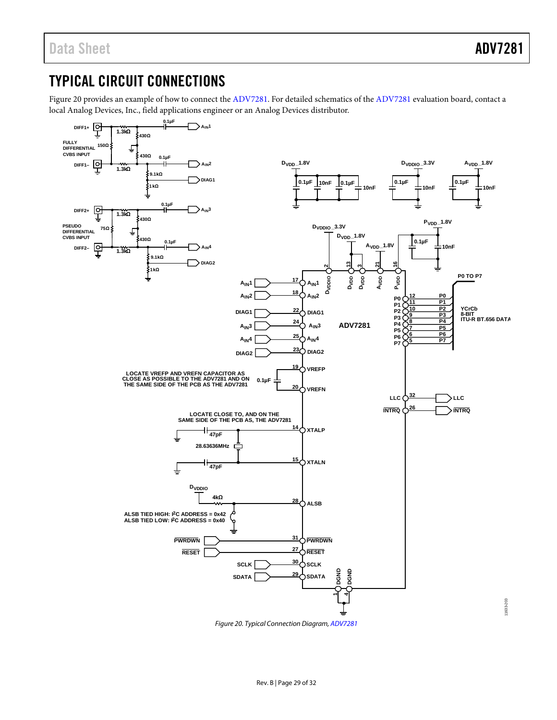### <span id="page-28-0"></span>TYPICAL CIRCUIT CONNECTIONS

[Figure 20](#page-28-1) provides an example of how to connect the [ADV7281.](http://www.analog.com/ADV7281?doc=ADV7281.pdf) For detailed schematics of th[e ADV7281](http://www.analog.com/ADV7281?doc=ADV7281.pdf) evaluation board, contact a local Analog Devices, Inc., field applications engineer or an Analog Devices distributor.



<span id="page-28-1"></span>*Figure 20. Typical Connection Diagram[, ADV7281](http://www.analog.com/ADV7281?doc=ADV7281.pdf)*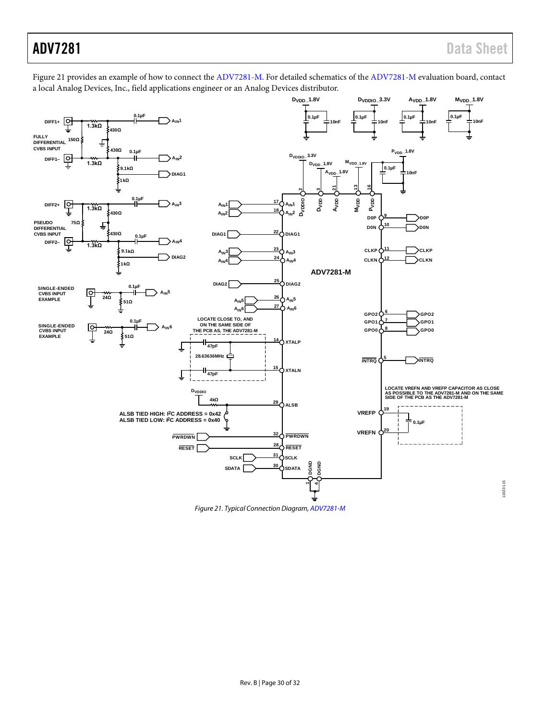[Figure 21](#page-29-0) provides an example of how to connect the [ADV7281-M.](http://www.analog.com/ADV7281?doc=ADV7281.PDF) For detailed schematics of th[e ADV7281-M](http://www.analog.com/ADV7281?doc=ADV7281.PDF) evaluation board, contact a local Analog Devices, Inc., field applications engineer or an Analog Devices distributor.

<span id="page-29-0"></span>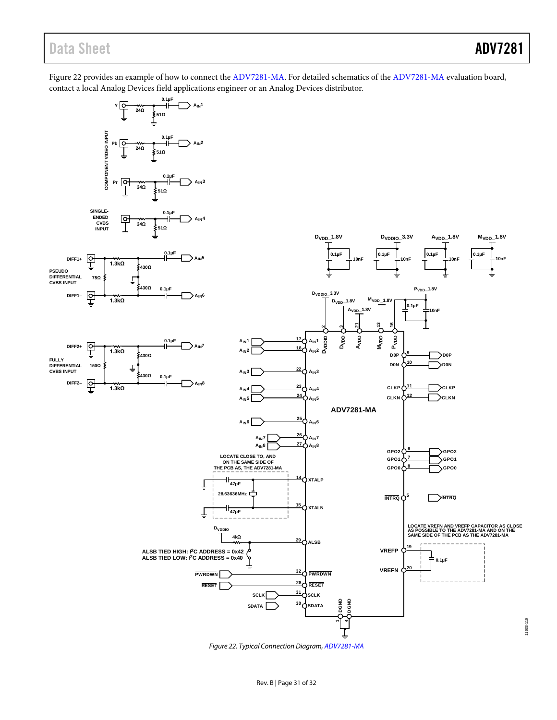### Data Sheet **ADV7281**

11633-116

11633-116

[Figure 22](#page-30-0) provides an example of how to connect the [ADV7281-MA.](http://www.analog.com/ADV7281?doc=ADV7281.PDF) For detailed schematics of the [ADV7281-MA](http://www.analog.com/ADV7281?doc=ADV7281.PDF) evaluation board, contact a local Analog Devices field applications engineer or an Analog Devices distributor.



<span id="page-30-0"></span>*Figure 22. Typical Connection Diagram[, ADV7281-MA](http://www.analog.com/ADV7281?doc=ADV7281.pdf)*